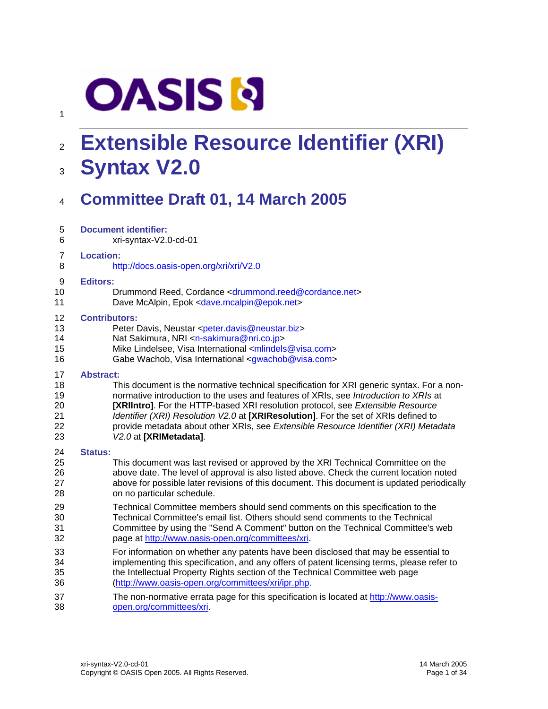# **OASIS N**

1

### <sup>2</sup>**Extensible Resource Identifier (XRI)**  3 **Syntax V2.0**

### 4 **Committee Draft 01, 14 March 2005**

| 5              | <b>Document identifier:</b>                                                                |
|----------------|--------------------------------------------------------------------------------------------|
| 6              | xri-syntax-V2.0-cd-01                                                                      |
| $\overline{7}$ | <b>Location:</b>                                                                           |
| 8              | http://docs.oasis-open.org/xri/xri/V2.0                                                    |
| 9              | <b>Editors:</b>                                                                            |
| 10             | Drummond Reed, Cordance <drummond.reed@cordance.net></drummond.reed@cordance.net>          |
| 11             | Dave McAlpin, Epok <dave.mcalpin@epok.net></dave.mcalpin@epok.net>                         |
| 12             | <b>Contributors:</b>                                                                       |
| 13             | Peter Davis, Neustar <peter.davis@neustar.biz></peter.davis@neustar.biz>                   |
| 14             | Nat Sakimura, NRI <n-sakimura@nri.co.jp></n-sakimura@nri.co.jp>                            |
| 15             | Mike Lindelsee, Visa International <mlindels@visa.com></mlindels@visa.com>                 |
| 16             | Gabe Wachob, Visa International <gwachob@visa.com></gwachob@visa.com>                      |
| 17             | <b>Abstract:</b>                                                                           |
| 18             | This document is the normative technical specification for XRI generic syntax. For a non-  |
| 19             | normative introduction to the uses and features of XRIs, see Introduction to XRIs at       |
| 20             | [XRIIntro]. For the HTTP-based XRI resolution protocol, see Extensible Resource            |
| 21             | Identifier (XRI) Resolution V2.0 at [XRIResolution]. For the set of XRIs defined to        |
| 22             | provide metadata about other XRIs, see Extensible Resource Identifier (XRI) Metadata       |
| 23             | V2.0 at [XRIMetadata].                                                                     |
| 24             | <b>Status:</b>                                                                             |
| 25             | This document was last revised or approved by the XRI Technical Committee on the           |
| 26             | above date. The level of approval is also listed above. Check the current location noted   |
| 27             | above for possible later revisions of this document. This document is updated periodically |
| 28             | on no particular schedule.                                                                 |
| 29             | Technical Committee members should send comments on this specification to the              |
| 30             | Technical Committee's email list. Others should send comments to the Technical             |
| 31             | Committee by using the "Send A Comment" button on the Technical Committee's web            |
| 32             | page at http://www.oasis-open.org/committees/xri.                                          |
| 33             | For information on whether any patents have been disclosed that may be essential to        |
| 34             | implementing this specification, and any offers of patent licensing terms, please refer to |
| 35             | the Intellectual Property Rights section of the Technical Committee web page               |
| 36             | (http://www.oasis-open.org/committees/xri/ipr.php.                                         |
| 37             | The non-normative errata page for this specification is located at http://www.oasis-       |
| 38             | open.org/committees/xri.                                                                   |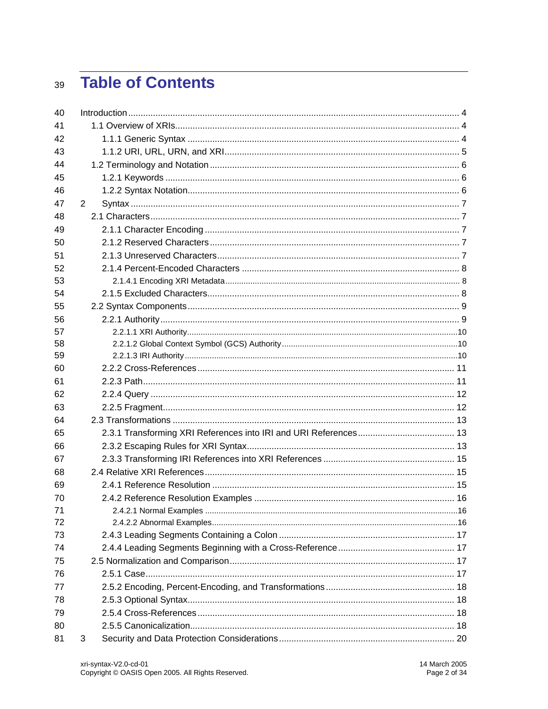### **Table of Contents** 39

| 40 |                |  |
|----|----------------|--|
| 41 |                |  |
| 42 |                |  |
| 43 |                |  |
| 44 |                |  |
| 45 |                |  |
| 46 |                |  |
| 47 | $\overline{2}$ |  |
| 48 |                |  |
| 49 |                |  |
| 50 |                |  |
| 51 |                |  |
| 52 |                |  |
| 53 |                |  |
| 54 |                |  |
| 55 |                |  |
| 56 |                |  |
| 57 |                |  |
| 58 |                |  |
| 59 |                |  |
| 60 |                |  |
| 61 |                |  |
| 62 |                |  |
| 63 |                |  |
| 64 |                |  |
| 65 |                |  |
| 66 |                |  |
| 67 |                |  |
| 68 |                |  |
| 69 |                |  |
| 70 |                |  |
| 71 |                |  |
| 72 |                |  |
| 73 |                |  |
| 74 |                |  |
| 75 |                |  |
| 76 |                |  |
| 77 |                |  |
| 78 |                |  |
| 79 |                |  |
| 80 |                |  |
| 81 | 3              |  |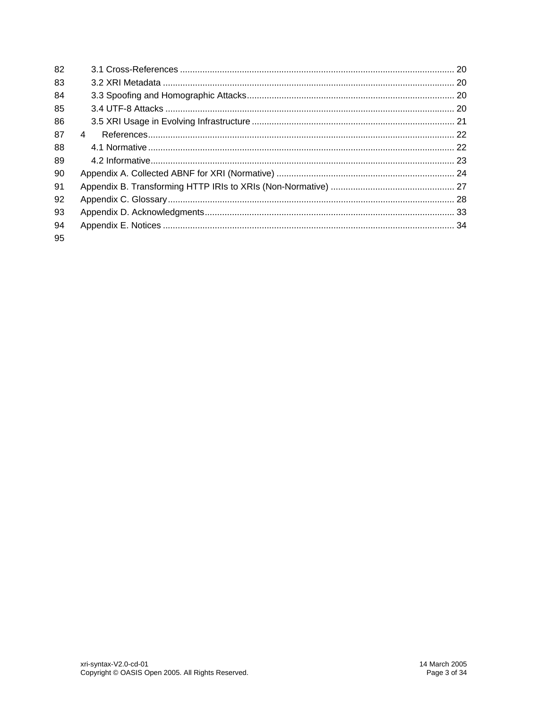| 82 |                |  |
|----|----------------|--|
| 83 |                |  |
| 84 |                |  |
| 85 |                |  |
| 86 |                |  |
| 87 | $\overline{4}$ |  |
| 88 |                |  |
| 89 |                |  |
| 90 |                |  |
| 91 |                |  |
| 92 |                |  |
| 93 |                |  |
| 94 |                |  |
| 95 |                |  |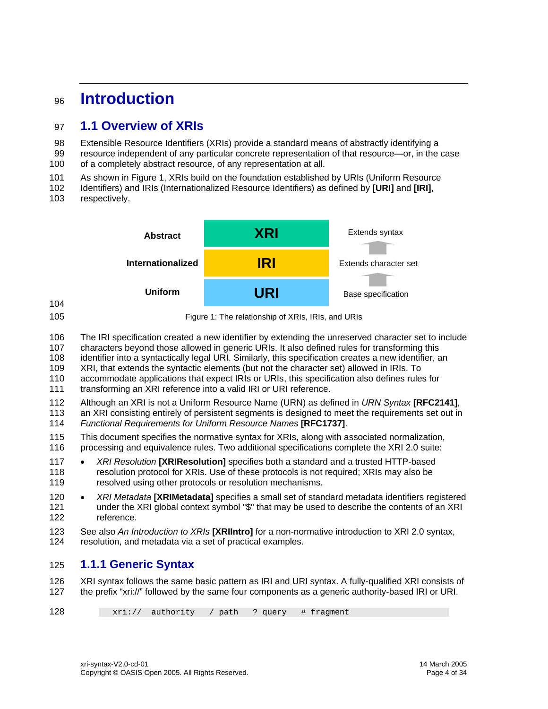# <span id="page-3-0"></span><sup>96</sup>**Introduction**

### 97 **1.1 Overview of XRIs**

98 99 Extensible Resource Identifiers (XRIs) provide a standard means of abstractly identifying a resource independent of any particular concrete representation of that resource—or, in the case

100 of a completely abstract resource, of any representation at all.

101 As shown in [Figure 1,](#page-3-1) XRIs build on the foundation established by URIs (Uniform Resource

- 102 Identifiers) and IRIs (Internationalized Resource Identifiers) as defined by **[\[URI\]](#page-21-3)** and **[\[IRI\]](#page-21-4)**,
- 103 respectively.

<span id="page-3-1"></span>

106 The IRI specification created a new identifier by extending the unreserved character set to include

107 characters beyond those allowed in generic URIs. It also defined rules for transforming this

108 identifier into a syntactically legal URI. Similarly, this specification creates a new identifier, an

109 XRI, that extends the syntactic elements (but not the character set) allowed in IRIs. To

110 accommodate applications that expect IRIs or URIs, this specification also defines rules for

111 transforming an XRI reference into a valid IRI or URI reference.

112 Although an XRI is not a Uniform Resource Name (URN) as defined in *URN Syntax* **[\[RFC2141\]](#page-21-5)**,

113 114 an XRI consisting entirely of persistent segments is designed to meet the requirements set out in *Functional Requirements for Uniform Resource Names* **[\[RFC1737\]](#page-21-6)**.

115 116 This document specifies the normative syntax for XRIs, along with associated normalization, processing and equivalence rules. Two additional specifications complete the XRI 2.0 suite:

- 117 118 119 • *XRI Resolution* **[\[XRIResolution\]](#page-21-0)** specifies both a standard and a trusted HTTP-based resolution protocol for XRIs. Use of these protocols is not required; XRIs may also be resolved using other protocols or resolution mechanisms.
- 120 121 122 • *XRI Metadata* **[\[XRIMetadata\]](#page-21-1)** specifies a small set of standard metadata identifiers registered under the XRI global context symbol "\$" that may be used to describe the contents of an XRI reference.
- 123 124 See also *An Introduction to XRIs* **[\[XRIIntro\]](#page-22-0)** for a non-normative introduction to XRI 2.0 syntax, resolution, and metadata via a set of practical examples.

### 125 **1.1.1 Generic Syntax**

126 127 XRI syntax follows the same basic pattern as IRI and URI syntax. A fully-qualified XRI consists of the prefix "xri://" followed by the same four components as a generic authority-based IRI or URI.

128 xri:// authority / path ? query # fragment

<sup>104</sup>  105

Figure 1: The relationship of XRIs, IRIs, and URIs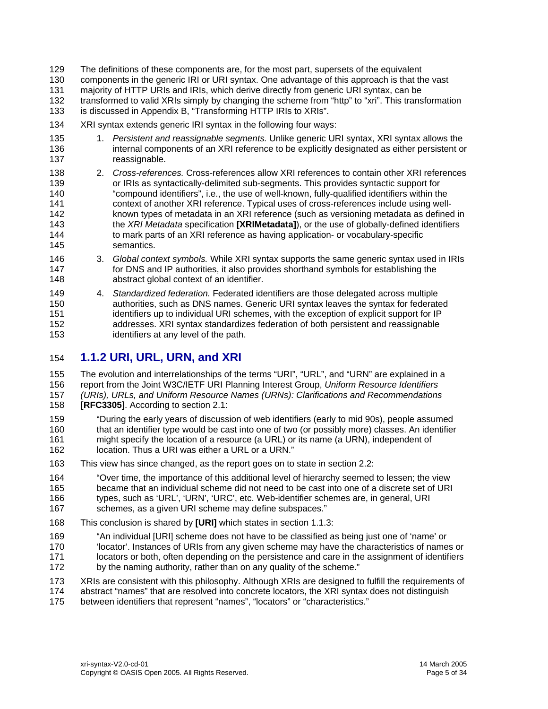- <span id="page-4-0"></span>129 The definitions of these components are, for the most part, supersets of the equivalent
- 130 components in the generic IRI or URI syntax. One advantage of this approach is that the vast
- 131 majority of HTTP URIs and IRIs, which derive directly from generic URI syntax, can be
- 132 transformed to valid XRIs simply by changing the scheme from "http" to "xri". This transformation
- 133 is discussed in [Appendix B,](#page-26-1) "Transforming HTTP IRIs to XRIs".
- 134 XRI syntax extends generic IRI syntax in the following four ways:
- 135 136 137 1. *Persistent and reassignable segments.* Unlike generic URI syntax, XRI syntax allows the internal components of an XRI reference to be explicitly designated as either persistent or reassignable.
- 138 139 140 141 142 143 144 145 2. *Cross-references.* Cross-references allow XRI references to contain other XRI references or IRIs as syntactically-delimited sub-segments. This provides syntactic support for "compound identifiers", i.e., the use of well-known, fully-qualified identifiers within the context of another XRI reference. Typical uses of cross-references include using wellknown types of metadata in an XRI reference (such as versioning metadata as defined in the *XRI Metadata* specification **[\[XRIMetadata\]](#page-21-1)**), or the use of globally-defined identifiers to mark parts of an XRI reference as having application- or vocabulary-specific semantics.
- 146 147 148 3. *Global context symbols.* While XRI syntax supports the same generic syntax used in IRIs for DNS and IP authorities, it also provides shorthand symbols for establishing the abstract global context of an identifier.
- 149 150 151 152 153 4. *Standardized federation.* Federated identifiers are those delegated across multiple authorities, such as DNS names. Generic URI syntax leaves the syntax for federated identifiers up to individual URI schemes, with the exception of explicit support for IP addresses. XRI syntax standardizes federation of both persistent and reassignable identifiers at any level of the path.

### 154 **1.1.2 URI, URL, URN, and XRI**

155 156 157 158 The evolution and interrelationships of the terms "URI", "URL", and "URN" are explained in a report from the Joint W3C/IETF URI Planning Interest Group, *Uniform Resource Identifiers (URIs), URLs, and Uniform Resource Names (URNs): Clarifications and Recommendations*  **[\[RFC3305\]](#page-21-7)**. According to section 2.1:

- 159 160 161 162 "During the early years of discussion of web identifiers (early to mid 90s), people assumed that an identifier type would be cast into one of two (or possibly more) classes. An identifier might specify the location of a resource (a URL) or its name (a URN), independent of location. Thus a URI was either a URL or a URN."
- 163 This view has since changed, as the report goes on to state in section 2.2:
- 164 165 166 "Over time, the importance of this additional level of hierarchy seemed to lessen; the view became that an individual scheme did not need to be cast into one of a discrete set of URI types, such as 'URL', 'URN', 'URC', etc. Web-identifier schemes are, in general, URI
- 167 schemes, as a given URI scheme may define subspaces."
- 168 This conclusion is shared by **[\[URI\]](#page-21-3)** which states in section 1.1.3:
- 169 "An individual [URI] scheme does not have to be classified as being just one of 'name' or
- 170 'locator'. Instances of URIs from any given scheme may have the characteristics of names or
- 171 locators or both, often depending on the persistence and care in the assignment of identifiers
- 172 by the naming authority, rather than on any quality of the scheme."

173 174 XRIs are consistent with this philosophy. Although XRIs are designed to fulfill the requirements of abstract "names" that are resolved into concrete locators, the XRI syntax does not distinguish

175 between identifiers that represent "names", "locators" or "characteristics."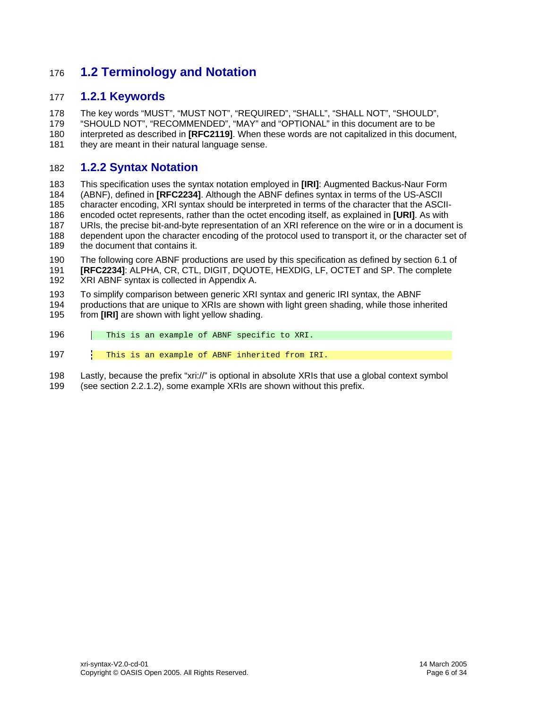### <span id="page-5-0"></span>176 **1.2 Terminology and Notation**

### 177 **1.2.1 Keywords**

178 179 180 181 The key words "MUST", "MUST NOT", "REQUIRED", "SHALL", "SHALL NOT", "SHOULD", "SHOULD NOT", "RECOMMENDED", "MAY" and "OPTIONAL" in this document are to be interpreted as described in **[\[RFC2119\]](#page-21-8)**. When these words are not capitalized in this document, they are meant in their natural language sense.

### 182 **1.2.2 Syntax Notation**

183 184 185 186 187 188 189 This specification uses the syntax notation employed in **[\[IRI\]](#page-21-4)**: Augmented Backus-Naur Form (ABNF), defined in **[\[RFC2234\]](#page-21-9)**. Although the ABNF defines syntax in terms of the US-ASCII character encoding, XRI syntax should be interpreted in terms of the character that the ASCIIencoded octet represents, rather than the octet encoding itself, as explained in **[\[URI\]](#page-21-3)**. As with URIs, the precise bit-and-byte representation of an XRI reference on the wire or in a document is dependent upon the character encoding of the protocol used to transport it, or the character set of the document that contains it.

190 191 192 The following core ABNF productions are used by this specification as defined by section 6.1 of **[\[RFC2234\]](#page-21-2)**: ALPHA, CR, CTL, DIGIT, DQUOTE, HEXDIG, LF, OCTET and SP. The complete XRI ABNF syntax is collected in [Appendix A.](#page-23-1)

193 To simplify comparison between generic XRI syntax and generic IRI syntax, the ABNF

194 195 productions that are unique to XRIs are shown with light green shading, while those inherited from **[\[IRI\]](#page-21-4)** are shown with light yellow shading.

196 | This is an example of ABNF specific to XRI.

197 This is an example of ABNF inherited from IRI.

198 Lastly, because the prefix "xri://" is optional in absolute XRIs that use a global context symbol

199 (see section [2.2.1.2\)](#page-9-1), some example XRIs are shown without this prefix.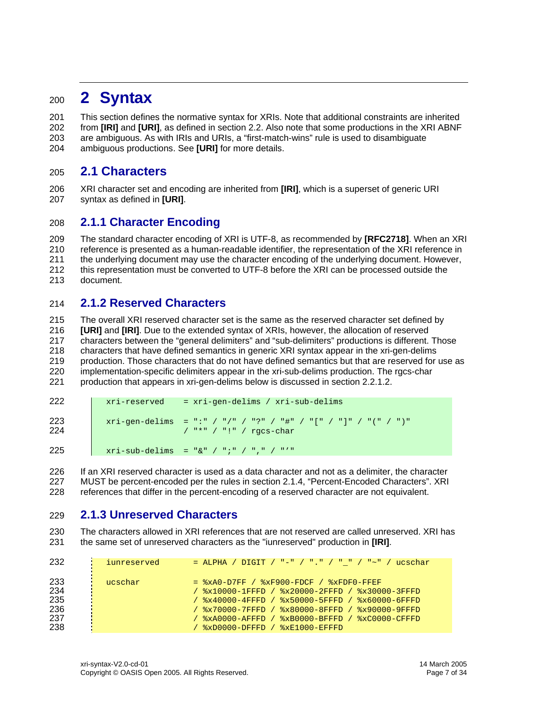## <span id="page-6-0"></span><sup>200</sup>**2 Syntax**

201 202 203 204 This section defines the normative syntax for XRIs. Note that additional constraints are inherited from **[\[IRI\]](#page-21-4)** and **[\[URI\]](#page-21-3)**, as defined in section [2.2.](#page-8-1) Also note that some productions in the XRI ABNF are ambiguous. As with IRIs and URIs, a "first-match-wins" rule is used to disambiguate ambiguous productions. See **[\[URI\]](#page-21-3)** for more details.

### 205 **2.1 Characters**

206 207 XRI character set and encoding are inherited from **[\[IRI\]](#page-21-4)**, which is a superset of generic URI syntax as defined in **[\[URI\]](#page-21-3)**.

### 208 **2.1.1 Character Encoding**

209 210 211 212 213 The standard character encoding of XRI is UTF-8, as recommended by **[\[RFC2718\]](#page-21-10)**. When an XRI reference is presented as a human-readable identifier, the representation of the XRI reference in the underlying document may use the character encoding of the underlying document. However, this representation must be converted to UTF-8 before the XRI can be processed outside the document.

### 214 **2.1.2 Reserved Characters**

215 216 217 218 219 220 221 The overall XRI reserved character set is the same as the reserved character set defined by **[\[URI\]](#page-21-3)** and **[\[IRI\]](#page-21-4)**. Due to the extended syntax of XRIs, however, the allocation of reserved characters between the "general delimiters" and "sub-delimiters" productions is different. Those characters that have defined semantics in generic XRI syntax appear in the xri-gen-delims production. Those characters that do not have defined semantics but that are reserved for use as implementation-specific delimiters appear in the xri-sub-delims production. The rgcs-char production that appears in xri-gen-delims below is discussed in section [2.2.1.2.](#page-9-1)

| 222        | xri-reserved | = xri-gen-delims / xri-sub-delims                                                                    |
|------------|--------------|------------------------------------------------------------------------------------------------------|
| 223<br>224 |              | $xri-qen-delims = "(" / "/" / "?" / "#" / "[" / "] " / "/ " / "/")$<br>$/$ "*" $/$ "!" $/$ rgcs-char |
| 225        |              | $xri-sub-delims = "&" / "i" / "i" / "i"$                                                             |

226 227 228 If an XRI reserved character is used as a data character and not as a delimiter, the character MUST be percent-encoded per the rules in section [2.1.4,](#page-7-1) "Percent-Encoded Characters". XRI references that differ in the percent-encoding of a reserved character are not equivalent.

### 229 **2.1.3 Unreserved Characters**

230 231 The characters allowed in XRI references that are not reserved are called unreserved. XRI has the same set of unreserved characters as the "iunreserved" production in **[\[IRI\]](#page-21-4)**.

| 232                                    | iunreserved | = ALPHA / DIGIT / "-" / "." / " " / "~" / ucschar                                                                                                                                                                                                                                                                                                                                                                                                                                                                                                                                                                                                                                                                                                                                                                                        |
|----------------------------------------|-------------|------------------------------------------------------------------------------------------------------------------------------------------------------------------------------------------------------------------------------------------------------------------------------------------------------------------------------------------------------------------------------------------------------------------------------------------------------------------------------------------------------------------------------------------------------------------------------------------------------------------------------------------------------------------------------------------------------------------------------------------------------------------------------------------------------------------------------------------|
| 233<br>234<br>235<br>236<br>237<br>238 | ucschar     | $=$ $xA0-D7FF$ / $xF900-FDCF$ / $xFDF0-FFEF$<br>/ %x10000-1FFFD / %x20000-2FFFD / %x30000-3FFFD<br>$/$ $\frac{1}{2}$ $\frac{1}{2}$ $\frac{1}{2}$ $\frac{1}{2}$ $\frac{1}{2}$ $\frac{1}{2}$ $\frac{1}{2}$ $\frac{1}{2}$ $\frac{1}{2}$ $\frac{1}{2}$ $\frac{1}{2}$ $\frac{1}{2}$ $\frac{1}{2}$ $\frac{1}{2}$ $\frac{1}{2}$ $\frac{1}{2}$ $\frac{1}{2}$ $\frac{1}{2}$ $\frac{1}{2}$ $\frac{1}{2}$ $\frac{1}{2}$ $\frac{1}{2$<br>$/$ $\sqrt{8x70000-7$ FFFD $/$ $\sqrt{8x80000-8}$ FFFD $/$ $\sqrt{8x90000-9}$ FFFD<br>/ $\frac{1}{2}$ $\frac{1}{2}$ $\frac{1}{2}$ $\frac{1}{2}$ $\frac{1}{2}$ $\frac{1}{2}$ $\frac{1}{2}$ $\frac{1}{2}$ $\frac{1}{2}$ $\frac{1}{2}$ $\frac{1}{2}$ $\frac{1}{2}$ $\frac{1}{2}$ $\frac{1}{2}$ $\frac{1}{2}$ $\frac{1}{2}$ $\frac{1}{2}$ $\frac{1}{2}$ $\frac{1}{2}$ $\frac{1}{2}$ $\frac{1}{2}$ $\frac{1}{2}$ |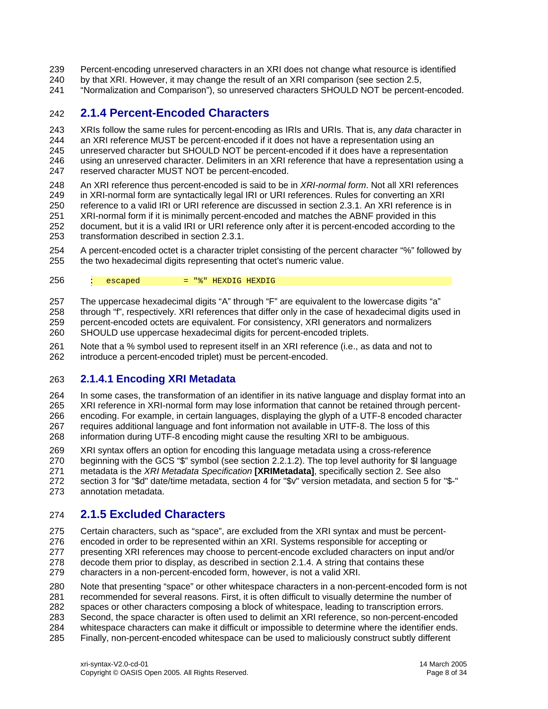- <span id="page-7-0"></span>239 Percent-encoding unreserved characters in an XRI does not change what resource is identified
- 240 by that XRI. However, it may change the result of an XRI comparison (see section [2.5,](#page-16-1)
- 241 "Normalization and Comparison"), so unreserved characters SHOULD NOT be percent-encoded.

### <span id="page-7-1"></span>242 **2.1.4 Percent-Encoded Characters**

243 244 245 246 247 XRIs follow the same rules for percent-encoding as IRIs and URIs. That is, any *data* character in an XRI reference MUST be percent-encoded if it does not have a representation using an unreserved character but SHOULD NOT be percent-encoded if it does have a representation using an unreserved character. Delimiters in an XRI reference that have a representation using a reserved character MUST NOT be percent-encoded.

248 249 250 251 252 253 An XRI reference thus percent-encoded is said to be in *XRI-normal form*. Not all XRI references in XRI-normal form are syntactically legal IRI or URI references. Rules for converting an XRI reference to a valid IRI or URI reference are discussed in section [2.3.1.](#page-12-1) An XRI reference is in XRI-normal form if it is minimally percent-encoded and matches the ABNF provided in this document, but it is a valid IRI or URI reference only after it is percent-encoded according to the transformation described in section [2.3.1.](#page-12-1)

- 254 255 A percent-encoded octet is a character triplet consisting of the percent character "%" followed by the two hexadecimal digits representing that octet's numeric value.
- 256 escaped = "%" HEXDIG HEXDIG

257 258 259 The uppercase hexadecimal digits "A" through "F" are equivalent to the lowercase digits "a" through "f", respectively. XRI references that differ only in the case of hexadecimal digits used in percent-encoded octets are equivalent. For consistency, XRI generators and normalizers

260 SHOULD use uppercase hexadecimal digits for percent-encoded triplets.

261 262 Note that a % symbol used to represent itself in an XRI reference (i.e., as data and not to introduce a percent-encoded triplet) must be percent-encoded.

### <span id="page-7-2"></span>263 **2.1.4.1 Encoding XRI Metadata**

264 265 266 267 268 In some cases, the transformation of an identifier in its native language and display format into an XRI reference in XRI-normal form may lose information that cannot be retained through percentencoding. For example, in certain languages, displaying the glyph of a UTF-8 encoded character requires additional language and font information not available in UTF-8. The loss of this information during UTF-8 encoding might cause the resulting XRI to be ambiguous.

269 270 271 272 273 XRI syntax offers an option for encoding this language metadata using a cross-reference beginning with the GCS "\$" symbol (see section [2.2.1.2\)](#page-9-1). The top level authority for \$l language metadata is the *XRI Metadata Specification* **[\[XRIMetadata\]](#page-21-1)**, specifically section 2. See also section 3 for "\$d" date/time metadata, section 4 for "\$v" version metadata, and section 5 for "\$-" annotation metadata.

### 274 **2.1.5 Excluded Characters**

275 276 277 278 279 Certain characters, such as "space", are excluded from the XRI syntax and must be percentencoded in order to be represented within an XRI. Systems responsible for accepting or presenting XRI references may choose to percent-encode excluded characters on input and/or decode them prior to display, as described in section [2.1.4.](#page-7-1) A string that contains these characters in a non-percent-encoded form, however, is not a valid XRI.

280 281 282 283 284 285 Note that presenting "space" or other whitespace characters in a non-percent-encoded form is not recommended for several reasons. First, it is often difficult to visually determine the number of spaces or other characters composing a block of whitespace, leading to transcription errors. Second, the space character is often used to delimit an XRI reference, so non-percent-encoded whitespace characters can make it difficult or impossible to determine where the identifier ends. Finally, non-percent-encoded whitespace can be used to maliciously construct subtly different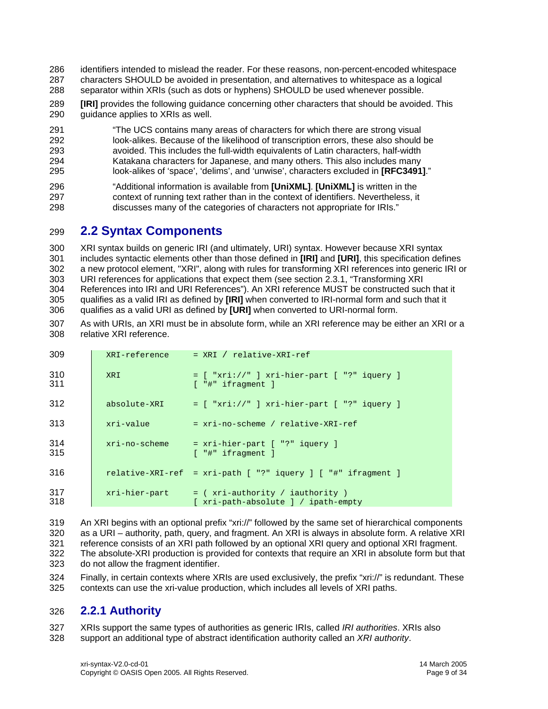- <span id="page-8-0"></span>286 287 identifiers intended to mislead the reader. For these reasons, non-percent-encoded whitespace characters SHOULD be avoided in presentation, and alternatives to whitespace as a logical
- 288 separator within XRIs (such as dots or hyphens) SHOULD be used whenever possible.
- 289 290 **[\[IRI\]](#page-21-4)** provides the following guidance concerning other characters that should be avoided. This guidance applies to XRIs as well.
- 291 292 293 294 295 "The UCS contains many areas of characters for which there are strong visual look-alikes. Because of the likelihood of transcription errors, these also should be avoided. This includes the full-width equivalents of Latin characters, half-width Katakana characters for Japanese, and many others. This also includes many look-alikes of 'space', 'delims', and 'unwise', characters excluded in **[\[RFC3491\]](#page-21-11)**."
- 296 297 298 "Additional information is available from **[UniXML]**. **[UniXML]** is written in the context of running text rather than in the [context of identifiers.](#page-21-12) Nevertheless, it discusses many of the categories of characters not appropriate for IRIs."

### <span id="page-8-1"></span>299 **2.2 Syntax Components**

300 301 302 303 304 305 306 XRI syntax builds on generic IRI (and ultimately, URI) syntax. However because XRI syntax includes syntactic elements other than those defined in **[\[IRI\]](#page-21-4)** and **[\[URI\]](#page-21-3)**, this specification defines a new protocol element, "XRI", along with rules for transforming XRI references into generic IRI or URI references for applications that expect them (see section [2.3.1,](#page-12-1) "Transforming XRI References into IRI and URI References"). An XRI reference MUST be constructed such that it qualifies as a valid IRI as defined by **[\[IRI\]](#page-21-4)** when converted to IRI-normal form and such that it qualifies as a valid URI as defined by **[\[URI\]](#page-21-3)** when converted to URI-normal form.

307 308 As with URIs, an XRI must be in absolute form, while an XRI reference may be either an XRI or a relative XRI reference.

| 309        |               | $XRI-reference = XRI / relative-XRI-ref$                                |
|------------|---------------|-------------------------------------------------------------------------|
| 310<br>311 | <b>XRI</b>    | $=$ [ "xri://" ] xri-hier-part [ "?" iquery ]<br>$[$ "#" ifragment $]$  |
| 312        | absolute-XRI  | $=$ [ "xri://" ] xri-hier-part [ "?" iquery ]                           |
| 313        | xri-value     | = xri-no-scheme / relative-XRI-ref                                      |
| 314<br>315 | xri-no-scheme | = xri-hier-part [ "?" iquery ]<br>$[$ "#" ifraqment $]$                 |
| 316        |               | $relative-XRI-ref = xri-path$ [ "?" iquery ] [ "#" ifraqment ]          |
| 317<br>318 | xri-hier-part | $=$ (xri-authority / iauthority )<br>[xri-path-absolute ] / ipath-empty |

319 320 321 322 323 An XRI begins with an optional prefix "xri://" followed by the same set of hierarchical components as a URI – authority, path, query, and fragment. An XRI is always in absolute form. A relative XRI reference consists of an XRI path followed by an optional XRI query and optional XRI fragment. The absolute-XRI production is provided for contexts that require an XRI in absolute form but that do not allow the fragment identifier.

324 325 Finally, in certain contexts where XRIs are used exclusively, the prefix "xri://" is redundant. These contexts can use the xri-value production, which includes all levels of XRI paths.

### <span id="page-8-2"></span>326 **2.2.1 Authority**

327 328 XRIs support the same types of authorities as generic IRIs, called *IRI authorities*. XRIs also support an additional type of abstract identification authority called an *XRI authority*.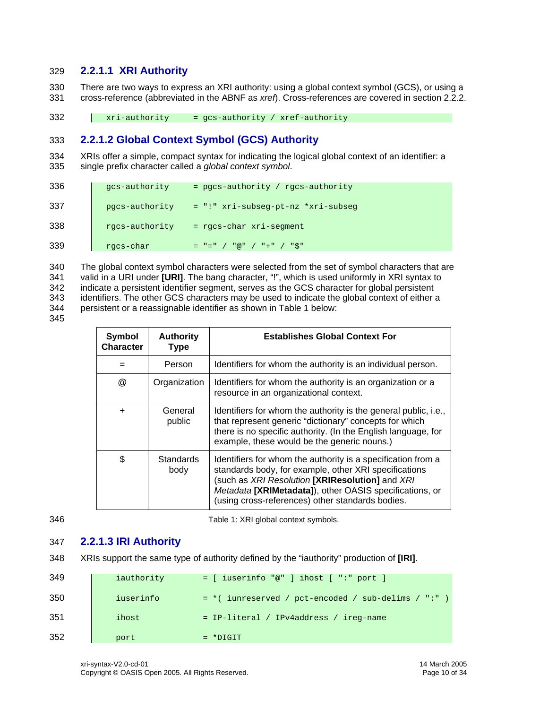### <span id="page-9-3"></span><span id="page-9-0"></span>329 **2.2.1.1 XRI Authority**

330 331 There are two ways to express an XRI authority: using a global context symbol (GCS), or using a cross-reference (abbreviated in the ABNF as *xref*). Cross-references are covered in section [2.2.2.](#page-10-1)

332  $xri$ -authority = gcs-authority /  $xref$ -authority

### 333 **2.2.1.2 Global Context Symbol (GCS) Authority**

<span id="page-9-1"></span>334 335 XRIs offer a simple, compact syntax for indicating the logical global context of an identifier: a single prefix character called a *global context symbol*.

| 336 | qcs-authority  | = pgcs-authority / rgcs-authority              |
|-----|----------------|------------------------------------------------|
| 337 | pgcs-authority | = "!" xri-subseg-pt-nz *xri-subseg             |
| 338 | rgcs-authority | $=$ rgcs-char $xri$ -segment                   |
| 339 | rgcs-char      | $=$ " $=$ " / " $@$ " / " $+$ " / " $\angle$ " |

340 341 342 343 344 The global context symbol characters were selected from the set of symbol characters that are valid in a URI under **[\[URI\]](#page-21-3)**. The bang character, "!", which is used uniformly in XRI syntax to indicate a persistent identifier segment, serves as the GCS character for global persistent identifiers. The other GCS characters may be used to indicate the global context of either a persistent or a reassignable identifier as shown in Table 1 below:

345

| Symbol<br><b>Character</b> | <b>Authority</b><br>Type | <b>Establishes Global Context For</b>                                                                                                                                                                                                                                                   |
|----------------------------|--------------------------|-----------------------------------------------------------------------------------------------------------------------------------------------------------------------------------------------------------------------------------------------------------------------------------------|
|                            | Person                   | Identifiers for whom the authority is an individual person.                                                                                                                                                                                                                             |
| $^{\textregistered}$       | Organization             | Identifiers for whom the authority is an organization or a<br>resource in an organizational context.                                                                                                                                                                                    |
| $+$                        | General<br>public        | Identifiers for whom the authority is the general public, i.e.,<br>that represent generic "dictionary" concepts for which<br>there is no specific authority. (In the English language, for<br>example, these would be the generic nouns.)                                               |
| \$                         | Standards<br>body        | Identifiers for whom the authority is a specification from a<br>standards body, for example, other XRI specifications<br>(such as XRI Resolution [XRIResolution] and XRI<br>Metadata [XRIMetadata]), other OASIS specifications, or<br>(using cross-references) other standards bodies. |

346

Table 1: XRI global context symbols.

### 347 **2.2.1.3 IRI Authority**

<span id="page-9-2"></span>348 XRIs support the same type of authority defined by the "iauthority" production of **[\[IRI\]](#page-21-4)**.

| 349 | iauthority | $=$ [ iuserinfo "@" ] ihost [ ":" port ]              |
|-----|------------|-------------------------------------------------------|
| 350 | iuserinfo  | $=$ *( iunreserved / pct-encoded / sub-delims / ":" ) |
| 351 | ihost      | = IP-literal / IPv4address / ireq-name                |
| 352 | port       | $= *DTGIT$                                            |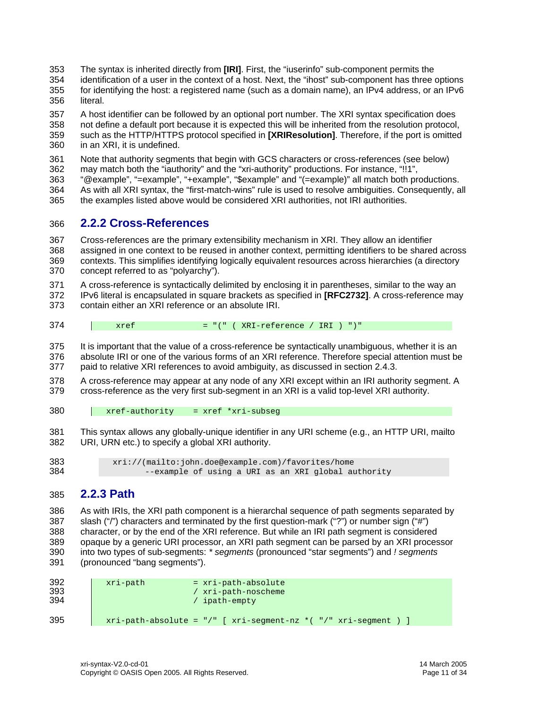- <span id="page-10-0"></span>The syntax is inherited directly from **[\[IRI\]](#page-21-4)**. First, the "iuserinfo" sub-component permits the 353
- identification of a user in the context of a host. Next, the "ihost" sub-component has three options for identifying the host: a registered name (such as a domain name), an IPv4 address, or an IPv6 literal. 354 355 356
- 357 A host identifier can be followed by an optional port number. The XRI syntax specification does
- 358 359 360 not define a default port because it is expected this will be inherited from the resolution protocol, such as the HTTP/HTTPS protocol specified in **[\[XRIResolution\]](#page-21-0)**. Therefore, if the port is omitted in an XRI, it is undefined.
- 361 362 Note that authority segments that begin with GCS characters or cross-references (see below) may match both the "iauthority" and the "xri-authority" productions. For instance, "!!1",
- 363 "@example", "=example", "+example", "\$example" and "(=example)" all match both productions.
- 364 As with all XRI syntax, the "first-match-wins" rule is used to resolve ambiguities. Consequently, all
- 365 the examples listed above would be considered XRI authorities, not IRI authorities.

### <span id="page-10-1"></span>366 **2.2.2 Cross-References**

367 368 369 370 Cross-references are the primary extensibility mechanism in XRI. They allow an identifier assigned in one context to be reused in another context, permitting identifiers to be shared across contexts. This simplifies identifying logically equivalent resources across hierarchies (a directory concept referred to as "polyarchy").

- 371 372 373 A cross-reference is syntactically delimited by enclosing it in parentheses, similar to the way an IPv6 literal is encapsulated in square brackets as specified in **[\[RFC2732\]](#page-21-13)**. A cross-reference may contain either an XRI reference or an absolute IRI.
- 
- 374  $xref = "(" ( XRI-reference / IRI ) ")"$

375 376 377 It is important that the value of a cross-reference be syntactically unambiguous, whether it is an absolute IRI or one of the various forms of an XRI reference. Therefore special attention must be paid to relative XRI references to avoid ambiguity, as discussed in section [2.4.3.](#page-16-2)

378 379 A cross-reference may appear at any node of any XRI except within an IRI authority segment. A cross-reference as the very first sub-segment in an XRI is a valid top-level XRI authority.

380 xref-authority = xref \*xri-subseg

381 382 This syntax allows any globally-unique identifier in any URI scheme (e.g., an HTTP URI, mailto URI, URN etc.) to specify a global XRI authority.

383 xri://(mailto:john.doe@example.com)/favorites/home 384 --example of using a URI as an XRI global authority

### 385 **2.2.3 Path**

<span id="page-10-2"></span>386 387 388 389 390 391 As with IRIs, the XRI path component is a hierarchal sequence of path segments separated by slash ("/") characters and terminated by the first question-mark ("?") or number sign ("#") character, or by the end of the XRI reference. But while an IRI path segment is considered opaque by a generic URI processor, an XRI path segment can be parsed by an XRI processor into two types of sub-segments: *\* segments* (pronounced "star segments") and *! segments* (pronounced "bang segments").

| 392<br>393<br>394 | xri-path | = xri-path-absolute<br>xri-path-noscheme<br>ipath-empty             |  |
|-------------------|----------|---------------------------------------------------------------------|--|
| 395               |          | $xri-path-absolute = */"$ [ $xri-seqment-nz * (" " xri-seqment )$ ] |  |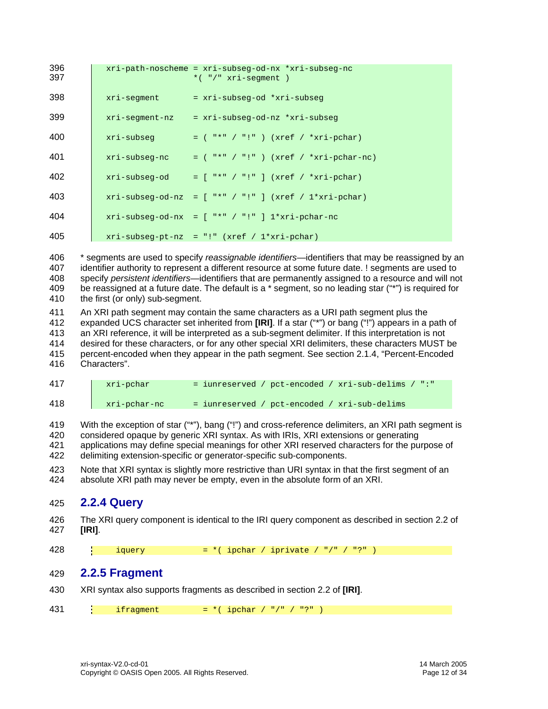<span id="page-11-0"></span>

| 396<br>397 |            | xri-path-noscheme = xri-subseq-od-nx *xri-subseq-nc<br>*( $"$ /" xri-seqment) |
|------------|------------|-------------------------------------------------------------------------------|
| 398        |            | xri-seqment = xri-subseq-od *xri-subseq                                       |
| 399        |            | $xri-segment-nz = xri-subseq-od-nz *xri-subseq$                               |
| 400        | xri-subseq | $=$ ( "*" / "!" ) (xref / *xri-pchar)                                         |
| 401        |            | $xri-subseq-nc = ("**" / "!"") (xref / *xri-pchar-nc)$                        |
| 402        |            | $xri-subseq-od = [$ "*" / "!" $](xref / *xri-pchar)$                          |
| 403        |            | $xri-subseq-od-nz = [$ "*" / "!" ] (xref / 1*xri-pchar)                       |
| 404        |            | $xri-subseq-od-nx = [$ "*" / "!" ] $1*xri-pchar-nc$                           |
| 405        |            | $xri-subseq-\pt-nz = "!" (xref / 1*xri-pchar)$                                |

406 407 408 409 410 \* segments are used to specify *reassignable identifiers*—identifiers that may be reassigned by an identifier authority to represent a different resource at some future date. ! segments are used to specify *persistent identifiers*—identifiers that are permanently assigned to a resource and will not be reassigned at a future date. The default is a \* segment, so no leading star ("\*") is required for the first (or only) sub-segment.

411 412 413 414 415 416 An XRI path segment may contain the same characters as a URI path segment plus the expanded UCS character set inherited from **[\[IRI\]](#page-21-4)**. If a star ("\*") or bang ("!") appears in a path of an XRI reference, it will be interpreted as a sub-segment delimiter. If this interpretation is not desired for these characters, or for any other special XRI delimiters, these characters MUST be percent-encoded when they appear in the path segment. See section [2.1.4,](#page-7-1) "[Percent-Encoded](#page-7-1)  [Characters"](#page-7-1).

| 417 | xri-pchar    | = iunreserved / pct-encoded / xri-sub-delims / ":" |
|-----|--------------|----------------------------------------------------|
| 418 | xri-pchar-nc | = iunreserved / pct-encoded / xri-sub-delims       |

419 420 421 422 With the exception of star ("\*"), bang ("!") and cross-reference delimiters, an XRI path segment is considered opaque by generic XRI syntax. As with IRIs, XRI extensions or generating applications may define special meanings for other XRI reserved characters for the purpose of delimiting extension-specific or generator-specific sub-components.

423 424 Note that XRI syntax is slightly more restrictive than URI syntax in that the first segment of an absolute XRI path may never be empty, even in the absolute form of an XRI.

### 425 **2.2.4 Query**

426 427 The XRI query component is identical to the IRI query component as described in section 2.2 of **[\[IRI\]](#page-21-4)**.

428 iquery  $= *$ ( ipchar / iprivate / "/" / "?" )

### 429 **2.2.5 Fragment**

430 XRI syntax also supports fragments as described in section 2.2 of **[\[IRI\]](#page-21-4)**.

431 ifragment =  $*($  ipchar / "/" / "?" )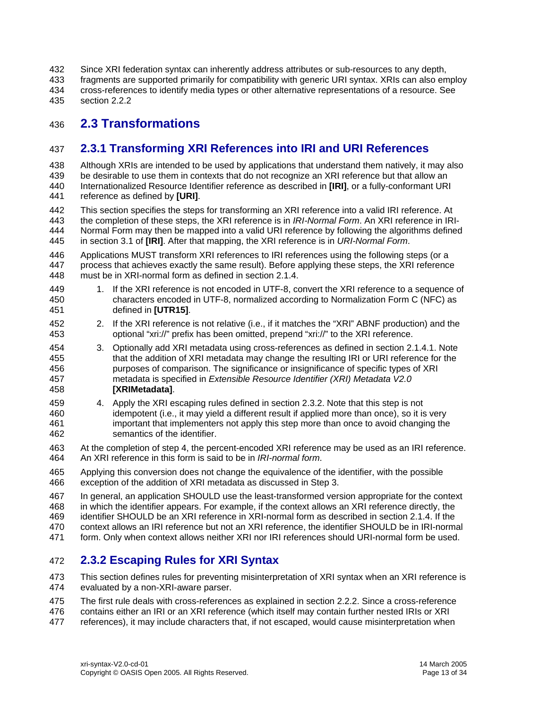- <span id="page-12-0"></span>432 Since XRI federation syntax can inherently address attributes or sub-resources to any depth,
- 433 434 435 fragments are supported primarily for compatibility with generic URI syntax. XRIs can also employ cross-references to identify media types or other alternative representations of a resource. See section [2.2.2](#page-10-1)

### 436 **2.3 Transformations**

### <span id="page-12-1"></span>437 **2.3.1 Transforming XRI References into IRI and URI References**

438 439 440 441 Although XRIs are intended to be used by applications that understand them natively, it may also be desirable to use them in contexts that do not recognize an XRI reference but that allow an Internationalized Resource Identifier reference as described in **[\[IRI\]](#page-21-4)**, or a fully-conformant URI reference as defined by **[\[URI\]](#page-21-3)**.

442 443 444 445 This section specifies the steps for transforming an XRI reference into a valid IRI reference. At the completion of these steps, the XRI reference is in *IRI-Normal Form*. An XRI reference in IRI-Normal Form may then be mapped into a valid URI reference by following the algorithms defined in section 3.1 of **[\[IRI\]](#page-21-4)**. After that mapping, the XRI reference is in *URI-Normal Form*.

- 446 447 448 Applications MUST transform XRI references to IRI references using the following steps (or a process that achieves exactly the same result). Before applying these steps, the XRI reference must be in XRI-normal form as defined in section [2.1.4.](#page-7-1)
- 449 450 451 1. If the XRI reference is not encoded in UTF-8, convert the XRI reference to a sequence of characters encoded in UTF-8, normalized according to Normalization Form C (NFC) as defined in **[\[UTR15\]](#page-21-14)**.
- 452 453 2. If the XRI reference is not relative (i.e., if it matches the "XRI" ABNF production) and the optional "xri://" prefix has been omitted, prepend "xri://" to the XRI reference.
- 454 455 456 457 458 3. Optionally add XRI metadata using cross-references as defined in section [2.1.4.1.](#page-7-2) Note that the addition of XRI metadata may change the resulting IRI or URI reference for the purposes of comparison. The significance or insignificance of specific types of XRI metadata is specified in *Extensible Resource Identifier (XRI) Metadata V2.0* **[\[XRIMetadata\]](#page-21-1)**.
- 459 460 461 462 4. Apply the XRI escaping rules defined in section [2.3.2.](#page-12-2) Note that this step is not idempotent (i.e., it may yield a different result if applied more than once), so it is very important that implementers not apply this step more than once to avoid changing the semantics of the identifier.
- 463 464 At the completion of step 4, the percent-encoded XRI reference may be used as an IRI reference. An XRI reference in this form is said to be in *IRI-normal form*.
- 465 466 Applying this conversion does not change the equivalence of the identifier, with the possible exception of the addition of XRI metadata as discussed in Step 3.
- 467 468 In general, an application SHOULD use the least-transformed version appropriate for the context in which the identifier appears. For example, if the context allows an XRI reference directly, the
- 469 identifier SHOULD be an XRI reference in XRI-normal form as described in section [2.1.4.](#page-7-1) If the
- 470 context allows an IRI reference but not an XRI reference, the identifier SHOULD be in IRI-normal
- 471 form. Only when context allows neither XRI nor IRI references should URI-normal form be used.

### <span id="page-12-2"></span>472 **2.3.2 Escaping Rules for XRI Syntax**

- 473 474 This section defines rules for preventing misinterpretation of XRI syntax when an XRI reference is evaluated by a non-XRI-aware parser.
- 475 The first rule deals with cross-references as explained in section [2.2.2.](#page-10-1) Since a cross-reference
- 476 contains either an IRI or an XRI reference (which itself may contain further nested IRIs or XRI
- 477 references), it may include characters that, if not escaped, would cause misinterpretation when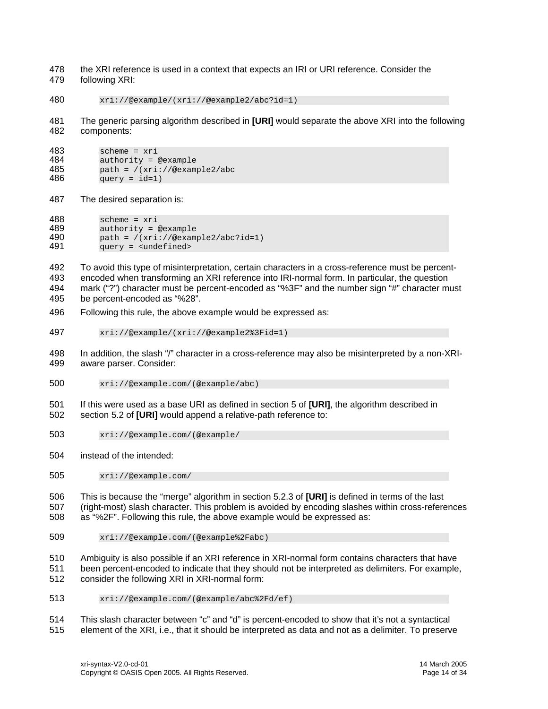- the XRI reference is used in a context that expects an IRI or URI reference. Consider the following XRI: 478 479
- 480 xri://@example/(xri://@example2/abc?id=1)
- 481 482 The generic parsing algorithm described in **[\[URI\]](#page-21-3)** would separate the above XRI into the following components:

```
483 scheme = xri<br>484 authority = 0
484 authority = @example 
           path = / (xri://@example2/abc)486 
           query = id=1)
```
487 The desired separation is:

```
488 scheme = xri<br>489 authority =
489 authority = @example<br>490 bath = /(xri://@example
              path = / (xri://@example2/abc?id=1)491 
              query = <undefined>
```
492 493 494 495 To avoid this type of misinterpretation, certain characters in a cross-reference must be percentencoded when transforming an XRI reference into IRI-normal form. In particular, the question mark ("?") character must be percent-encoded as "%3F" and the number sign "#" character must be percent-encoded as "%28".

- 496 Following this rule, the above example would be expressed as:
- 497 xri://@example/(xri://@example2%3Fid=1)
- 498 499 In addition, the slash "/" character in a cross-reference may also be misinterpreted by a non-XRIaware parser. Consider:
- 500 xri://@example.com/(@example/abc)

501 502 If this were used as a base URI as defined in section 5 of **[\[URI\]](#page-21-3)**, the algorithm described in section 5.2 of **[\[URI\]](#page-21-3)** would append a relative-path reference to:

- 503 xri://@example.com/(@example/
- 504 instead of the intended:
- 505 xri://@example.com/

506 507 508 This is because the "merge" algorithm in section 5.2.3 of **[\[URI\]](#page-21-3)** is defined in terms of the last (right-most) slash character. This problem is avoided by encoding slashes within cross-references as "%2F". Following this rule, the above example would be expressed as:

509 xri://@example.com/(@example%2Fabc)

510 511 512 Ambiguity is also possible if an XRI reference in XRI-normal form contains characters that have been percent-encoded to indicate that they should not be interpreted as delimiters. For example, consider the following XRI in XRI-normal form:

- 513 xri://@example.com/(@example/abc%2Fd/ef)
- 514 This slash character between "c" and "d" is percent-encoded to show that it's not a syntactical

515 element of the XRI, i.e., that it should be interpreted as data and not as a delimiter. To preserve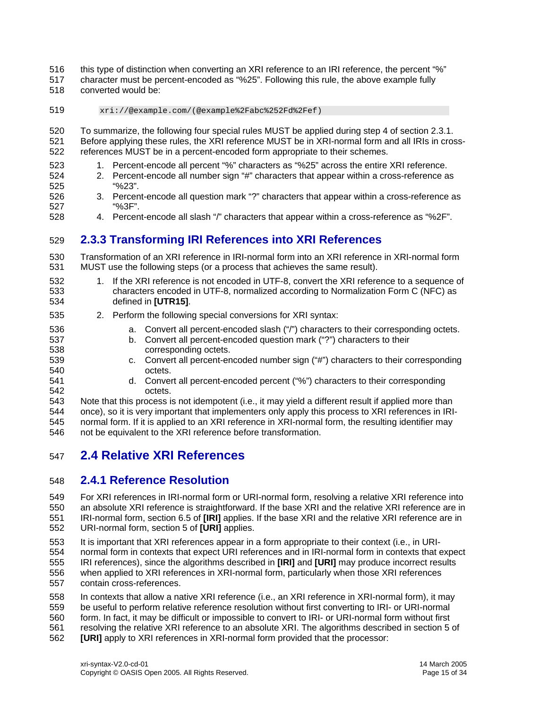<span id="page-14-0"></span>this type of distinction when converting an XRI reference to an IRI reference, the percent "%" 516

- character must be percent-encoded as "%25". Following this rule, the above example fully 517
- converted would be: 518

519 xri://@example.com/(@example%2Fabc%252Fd%2Fef)

520 521 522 To summarize, the following four special rules MUST be applied during step 4 of section [2.3.1.](#page-12-1) Before applying these rules, the XRI reference MUST be in XRI-normal form and all IRIs in crossreferences MUST be in a percent-encoded form appropriate to their schemes.

- 523 1. Percent-encode all percent "%" characters as "%25" across the entire XRI reference.
- 524 525 2. Percent-encode all number sign "#" characters that appear within a cross-reference as "%23".
- 526 527 528 3. Percent-encode all question mark "?" characters that appear within a cross-reference as "%3F".
	- 4. Percent-encode all slash "/" characters that appear within a cross-reference as "%2F".

### 529 **2.3.3 Transforming IRI References into XRI References**

530 531 Transformation of an XRI reference in IRI-normal form into an XRI reference in XRI-normal form MUST use the following steps (or a process that achieves the same result).

- 532 533 534 1. If the XRI reference is not encoded in UTF-8, convert the XRI reference to a sequence of characters encoded in UTF-8, normalized according to Normalization Form C (NFC) as defined in **[\[UTR15\]](#page-21-14)**.
- 535 2. Perform the following special conversions for XRI syntax:
	- a. Convert all percent-encoded slash ("/") characters to their corresponding octets.
	- b. Convert all percent-encoded question mark ("?") characters to their corresponding octets.
	- c. Convert all percent-encoded number sign ("#") characters to their corresponding octets.
- 541 542 d. Convert all percent-encoded percent ("%") characters to their corresponding octets.

543 544 545 546 Note that this process is not idempotent (i.e., it may yield a different result if applied more than once), so it is very important that implementers only apply this process to XRI references in IRInormal form. If it is applied to an XRI reference in XRI-normal form, the resulting identifier may not be equivalent to the XRI reference before transformation.

### 547 **2.4 Relative XRI References**

### 548 **2.4.1 Reference Resolution**

549 550 551 552 For XRI references in IRI-normal form or URI-normal form, resolving a relative XRI reference into an absolute XRI reference is straightforward. If the base XRI and the relative XRI reference are in IRI-normal form, section 6.5 of **[\[IRI\]](#page-21-4)** applies. If the base XRI and the relative XRI reference are in URI-normal form, section 5 of **[\[URI\]](#page-21-3)** applies.

553 554 555 556 557 It is important that XRI references appear in a form appropriate to their context (i.e., in URInormal form in contexts that expect URI references and in IRI-normal form in contexts that expect IRI references), since the algorithms described in **[\[IRI\]](#page-21-4)** and **[\[URI\]](#page-21-3)** may produce incorrect results when applied to XRI references in XRI-normal form, particularly when those XRI references contain cross-references.

558 559 560 561 562 In contexts that allow a native XRI reference (i.e., an XRI reference in XRI-normal form), it may be useful to perform relative reference resolution without first converting to IRI- or URI-normal form. In fact, it may be difficult or impossible to convert to IRI- or URI-normal form without first resolving the relative XRI reference to an absolute XRI. The algorithms described in section 5 of **[\[URI\]](#page-21-3)** apply to XRI references in XRI-normal form provided that the processor: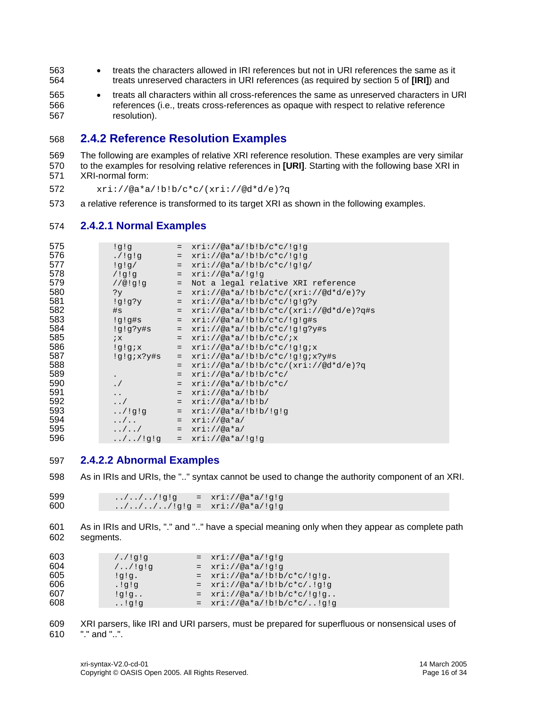- <span id="page-15-0"></span>• treats the characters allowed in IRI references but not in URI references the same as it treats unreserved characters in URI references (as required by section 5 of **[\[IRI\]](#page-21-4)**) and
- • treats all characters within all cross-references the same as unreserved characters in URI references (i.e., treats cross-references as opaque with respect to relative reference resolution).

### **2.4.2 Reference Resolution Examples**

- The following are examples of relative XRI reference resolution. These examples are very similar to the examples for resolving relative references in **[\[URI\]](#page-21-3)**. Starting with the following base XRI in XRI-normal form:
- xri://@a\*a/!b!b/c\*c/(xri://@d\*d/e)?q
- a relative reference is transformed to its target XRI as shown in the following examples.

### **2.4.2.1 Normal Examples**

| 575 | iqiq                                  | $=$                  | $xri://@a*a/!b!b/c*c/!q!q$               |
|-----|---------------------------------------|----------------------|------------------------------------------|
| 576 | . / !g!g                              | $=$ $\,$             | $xri://@a*a/!b!b/c*c/!q!q$               |
| 577 | !q!q/                                 | $=$                  | $xri://@a*a/!b!b/c*c/!q!q/$              |
| 578 | 19!7                                  | $\equiv$             | $xri://@a*a/!q!q$                        |
| 579 | 1/@!q!q                               | $\equiv$             | Not a legal relative XRI reference       |
| 580 | ?y                                    | $=$                  | $xri://@a*a/!b!b/c*c/(xri://@d*d/e)?y$   |
| 581 | idjdjh                                | $=$                  | $xri://@a*a/!b!b/c*c/!q!q?y$             |
| 582 | #s                                    | $=$                  | $xri://@a*a/!b!b/c*c/(xri://@d*d/e)?q#s$ |
| 583 | $:q:q$ #s                             | $=$ $\,$             | $xri://@a*a/!b!b/c*c/!q!q\sharp s$       |
| 584 | !q!q?y#s                              | $\equiv$             | $xri://@a*a/!b!b/c*c/!q!q?y#s$           |
| 585 | ix                                    | $=$                  | $xri://@a*a/!b!b/c*c/ix$                 |
| 586 | !g!g;x                                | $=$                  | $xri://@a*a/!b!b/c*c/!q!qix$             |
| 587 | !q!q;x?y#s                            | $=$                  | $xri://@a*a/!b:b/c*c/!q!qix?y#s$         |
| 588 |                                       | $=$                  | $xri://@a*a/!b!b/c*c/(xri://@d*d/e)?q$   |
| 589 | $\bullet$ .<br><br><br><br><br><br>   | $=$                  | $xri://@a*a/!b!b/c*c/$                   |
| 590 | $\cdot$ /                             | $=$                  | $xri://@a*a/!b!b/c*c/$                   |
| 591 | $\ddots$                              | $=$                  | $xri://@a*a/!b!b/$                       |
| 592 | $\cdot$ . /                           | $=$                  | $xri://@a*a/!b!b/$                       |
| 593 | . / !g!g                              | $=$ $\,$             | $xri://@a*a/!b!b/!q!q$                   |
| 594 | $\ldots$ $\ldots$                     | $=$                  | $xri://@a*a/$                            |
| 595 | $\ldots / \ldots /$ $\qquad \qquad =$ |                      | xri://@a*a/                              |
| 596 | . / . / . / .                         | $\alpha_{\rm c} = 0$ | xri://@a*a/!q!q                          |

### **2.4.2.2 Abnormal Examples**

 As in IRIs and URIs, the ".." syntax cannot be used to change the authority component of an XRI.

599 ../../../!g!g =  $xri://@a*a/!g!g$   $../../../..!/!g!g = xri!///@a*a!/g!g$ 

 As in IRIs and URIs, "." and ".." have a special meaning only when they appear as complete path segments.

| 603 | $/$ . $/$ !q!q | $= xri: //@a*a!/q!q$            |
|-----|----------------|---------------------------------|
| 604 | $/$ $/$ !q!q   | $= xri: //@a*a!/q!q$            |
| 605 | lq!q.          | $= xri! // @a*a' b!b/c*c' q!q.$ |
| 606 | . !q!q         | $= xri! //@a*a' b!b/c*c .!q!q$  |
| 607 | !q!q           | $= xri! // @a*a' b!b/c*c' q!q$  |
| 608 | p!p!           | $= xri: //@a*a/!b!b/c*c/!q!q$   |

 XRI parsers, like IRI and URI parsers, must be prepared for superfluous or nonsensical uses of "." and "..".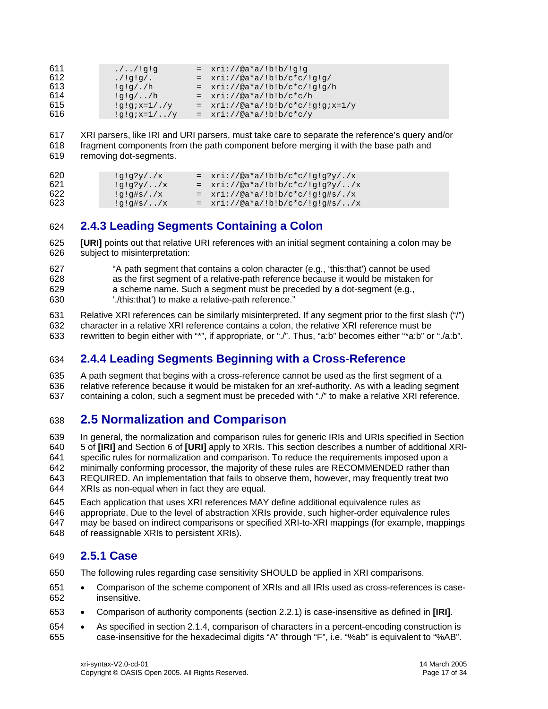<span id="page-16-0"></span>

| 611 | $. / . / !$ g!g | $= xri: //@a*a/!b!b/!q!q$            |
|-----|-----------------|--------------------------------------|
| 612 | $.$ /lq!q/.     | $= xri: //@a*a/!b!b/c*c/!q!q/$       |
| 613 | $!q!q/$ ./h     | $= xri! //@a*a' b!b/c*c' q!q/h$      |
| 614 | $!q!q/$ /h      | $= xri: //@a*a/!b!b/c*c/h$           |
| 615 | $!q!q; x=1/./y$ | $= xri: // @a*a/!b!b/c*c/!q!qix=1/y$ |
| 616 | $!q;q;x=1/$ /y  | $= xri: //@a*a/!b!b/c*c/y$           |

617 618 XRI parsers, like IRI and URI parsers, must take care to separate the reference's query and/or fragment components from the path component before merging it with the base path and

619 removing dot-segments.

620 !g!g?y/./x = xri://@a\*a/!b!b/c\*c/!g!g?y/./x 621 !g!g?y/../x = xri://@a\*a/!b!b/c\*c/!g!g?y/../x<br>622 !g!g#s/./x = xri://@a\*a/!b!b/c\*c/!g!g#s/./x  $!g!g#s/.x = xri://@a*a/!b!b/c*c/!g!g#s/.x$ 623  $!g!g#s/../x = xri!//@a*a/lb!b/c*c/lg!g#s/../x$ 

### 624 **2.4.3 Leading Segments Containing a Colon**

<span id="page-16-2"></span>625 626 **[\[URI\]](#page-21-3)** points out that relative URI references with an initial segment containing a colon may be subject to misinterpretation:

627 628 629 630 "A path segment that contains a colon character (e.g., 'this:that') cannot be used as the first segment of a relative-path reference because it would be mistaken for a scheme name. Such a segment must be preceded by a dot-segment (e.g., './this:that') to make a relative-path reference."

631 632 633 Relative XRI references can be similarly misinterpreted. If any segment prior to the first slash ("/") character in a relative XRI reference contains a colon, the relative XRI reference must be rewritten to begin either with "\*", if appropriate, or "./". Thus, "a:b" becomes either "\*a:b" or "./a:b".

### 634 **2.4.4 Leading Segments Beginning with a Cross-Reference**

635 636 637 A path segment that begins with a cross-reference cannot be used as the first segment of a relative reference because it would be mistaken for an xref-authority. As with a leading segment containing a colon, such a segment must be preceded with "./" to make a relative XRI reference.

### <span id="page-16-1"></span>638 **2.5 Normalization and Comparison**

639 640 641 642 643 644 In general, the normalization and comparison rules for generic IRIs and URIs specified in Section 5 of **[\[IRI\]](#page-21-4)** and Section 6 of **[\[URI\]](#page-21-3)** apply to XRIs. This section describes a number of additional XRIspecific rules for normalization and comparison. To reduce the requirements imposed upon a minimally conforming processor, the majority of these rules are RECOMMENDED rather than REQUIRED. An implementation that fails to observe them, however, may frequently treat two XRIs as non-equal when in fact they are equal.

645 646 647 Each application that uses XRI references MAY define additional equivalence rules as appropriate. Due to the level of abstraction XRIs provide, such higher-order equivalence rules may be based on indirect comparisons or specified XRI-to-XRI mappings (for example, mappings

648 of reassignable XRIs to persistent XRIs).

### 649 **2.5.1 Case**

- 650 The following rules regarding case sensitivity SHOULD be applied in XRI comparisons.
- 651 652 • Comparison of the scheme component of XRIs and all IRIs used as cross-references is caseinsensitive.
- 653 • Comparison of authority components (section [2.2.1\)](#page-8-2) is case-insensitive as defined in **[\[IRI\]](#page-21-4)**.
- 654 655 • As specified in section [2.1.4,](#page-7-1) comparison of characters in a percent-encoding construction is case-insensitive for the hexadecimal digits "A" through "F", i.e. "%ab" is equivalent to "%AB".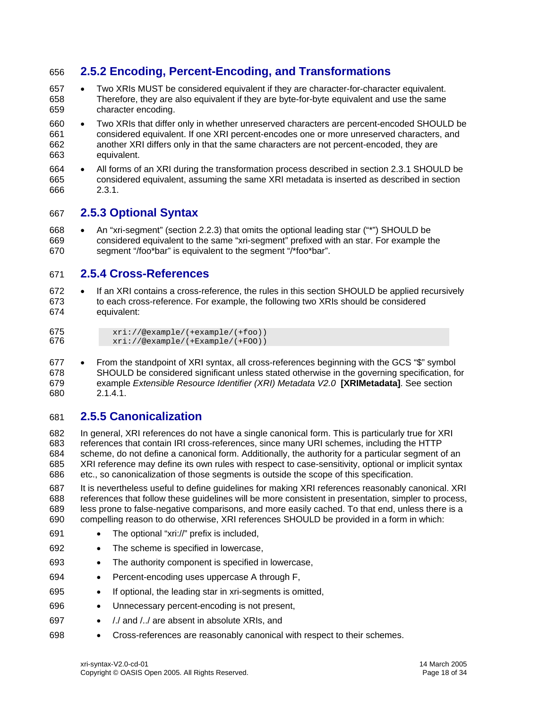### <span id="page-17-0"></span>656 **2.5.2 Encoding, Percent-Encoding, and Transformations**

- 657 658 659 • Two XRIs MUST be considered equivalent if they are character-for-character equivalent. Therefore, they are also equivalent if they are byte-for-byte equivalent and use the same character encoding.
- 660 661 662 663 • Two XRIs that differ only in whether unreserved characters are percent-encoded SHOULD be considered equivalent. If one XRI percent-encodes one or more unreserved characters, and another XRI differs only in that the same characters are not percent-encoded, they are equivalent.
- 664 665 666 • All forms of an XRI during the transformation process described in section [2.3.1 S](#page-12-1)HOULD be considered equivalent, assuming the same XRI metadata is inserted as described in section [2.3.1.](#page-12-1)

### 667 **2.5.3 Optional Syntax**

668 669 670 • An "xri-segment" (section [2.2.3\)](#page-10-2) that omits the optional leading star ("\*") SHOULD be considered equivalent to the same "xri-segment" prefixed with an star. For example the segment "/foo\*bar" is equivalent to the segment "/\*foo\*bar".

### 671 **2.5.4 Cross-References**

- 672 673 674 If an XRI contains a cross-reference, the rules in this section SHOULD be applied recursively to each cross-reference. For example, the following two XRIs should be considered equivalent:
- 675 xri://@example/(+example/(+foo)) 676 xri://@example/(+Example/(+FOO))
- 677 678 679 680 • From the standpoint of XRI syntax, all cross-references beginning with the GCS "\$" symbol SHOULD be considered significant unless stated otherwise in the governing specification, for example *Extensible Resource Identifier (XRI) Metadata V2.0* **[\[XRIMetadata\]](#page-21-1)**. See section  $2.1.4.1.$

### 681 **2.5.5 Canonicalization**

682 683 684 685 686 In general, XRI references do not have a single canonical form. This is particularly true for XRI references that contain IRI cross-references, since many URI schemes, including the HTTP scheme, do not define a canonical form. Additionally, the authority for a particular segment of an XRI reference may define its own rules with respect to case-sensitivity, optional or implicit syntax etc., so canonicalization of those segments is outside the scope of this specification.

687 688 689 690 It is nevertheless useful to define guidelines for making XRI references reasonably canonical. XRI references that follow these guidelines will be more consistent in presentation, simpler to process, less prone to false-negative comparisons, and more easily cached. To that end, unless there is a compelling reason to do otherwise, XRI references SHOULD be provided in a form in which:

- 691 • The optional "xri://" prefix is included,
- 692 The scheme is specified in lowercase.
- 693 • The authority component is specified in lowercase,
- 694 • Percent-encoding uses uppercase A through F,
- 695 • If optional, the leading star in xri-segments is omitted,
- 696 • Unnecessary percent-encoding is not present,
- 697 • /./ and /../ are absent in absolute XRIs, and
- 698 • Cross-references are reasonably canonical with respect to their schemes.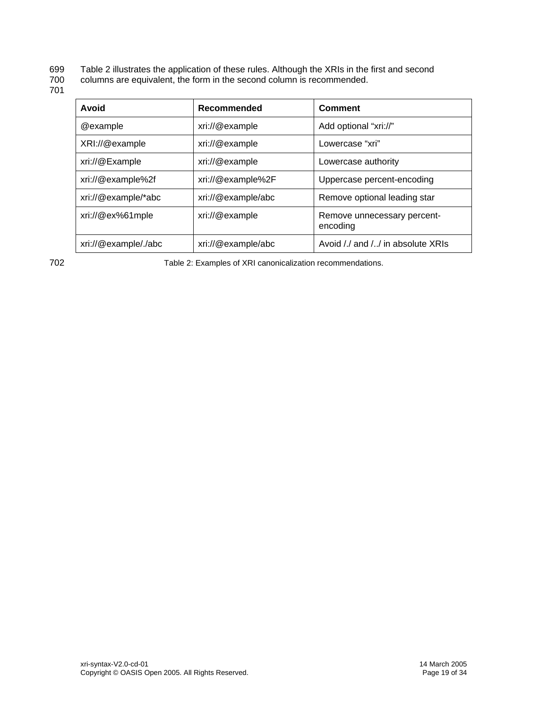- 699 [Table 2](#page-18-0) illustrates the application of these rules. Although the XRIs in the first and second
- 700 columns are equivalent, the form in the second column is recommended.
- 701

| Avoid                | Recommended        | Comment                                 |
|----------------------|--------------------|-----------------------------------------|
| @example             | xri://@example     | Add optional "xri://"                   |
| XRI://@example       | xri://@example     | Lowercase "xri"                         |
| xri://@Example       | xri://@example     | Lowercase authority                     |
| xri://@example%2f    | xri://@example%2F  | Uppercase percent-encoding              |
| xri://@example/*abc  | xri://@example/abc | Remove optional leading star            |
| xri://@ex%61mple     | xri://@example     | Remove unnecessary percent-<br>encoding |
| xri://@example/./abc | xri://@example/abc | Avoid // and / / in absolute XRIs       |

<span id="page-18-0"></span>

702 Table 2: Examples of XRI canonicalization recommendations.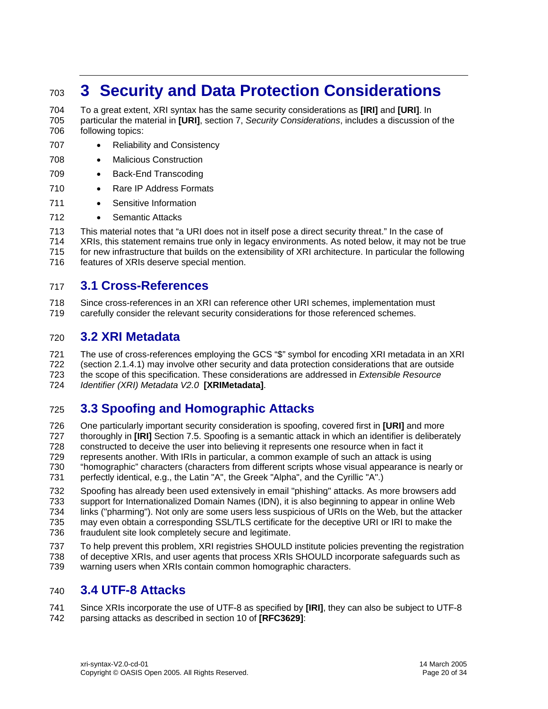# <span id="page-19-0"></span><sup>703</sup>**3 Security and Data Protection Considerations**

704 705 706 To a great extent, XRI syntax has the same security considerations as **[\[IRI\]](#page-21-4)** and **[\[URI\]](#page-21-3)**. In particular the material in **[\[URI\]](#page-21-3)**, section 7, *Security Considerations*, includes a discussion of the following topics:

- 707 • Reliability and Consistency
- 708 • Malicious Construction
- 709 • Back-End Transcoding
- 710 • Rare IP Address Formats
- 711 Sensitive Information
- 712 Semantic Attacks

713 714 715 716 This material notes that "a URI does not in itself pose a direct security threat." In the case of XRIs, this statement remains true only in legacy environments. As noted below, it may not be true for new infrastructure that builds on the extensibility of XRI architecture. In particular the following features of XRIs deserve special mention.

### 717 **3.1 Cross-References**

718 719 Since cross-references in an XRI can reference other URI schemes, implementation must carefully consider the relevant security considerations for those referenced schemes.

### 720 **3.2 XRI Metadata**

721 722 723 724 The use of cross-references employing the GCS "\$" symbol for encoding XRI metadata in an XRI (section [2.1.4.1\)](#page-7-2) may involve other security and data protection considerations that are outside the scope of this specification. These considerations are addressed in *Extensible Resource Identifier (XRI) Metadata V2.0* **[\[XRIMetadata\]](#page-21-1)**.

### 725 **3.3 Spoofing and Homographic Attacks**

726 727 728 729 730 One particularly important security consideration is spoofing, covered first in **[\[URI\]](#page-21-3)** and more thoroughly in **[\[IRI\]](#page-21-4)** Section 7.5. Spoofing is a semantic attack in which an identifier is deliberately constructed to deceive the user into believing it represents one resource when in fact it represents another. With IRIs in particular, a common example of such an attack is using "homographic" characters (characters from different scripts whose visual appearance is nearly or

731 perfectly identical, e.g., the Latin "A", the Greek "Alpha", and the Cyrillic "A".)

732 733 734 735 736 Spoofing has already been used extensively in email "phishing" attacks. As more browsers add support for Internationalized Domain Names (IDN), it is also beginning to appear in online Web links ("pharming"). Not only are some users less suspicious of URIs on the Web, but the attacker may even obtain a corresponding SSL/TLS certificate for the deceptive URI or IRI to make the fraudulent site look completely secure and legitimate.

737 738 To help prevent this problem, XRI registries SHOULD institute policies preventing the registration of deceptive XRIs, and user agents that process XRIs SHOULD incorporate safeguards such as

739 warning users when XRIs contain common homographic characters.

### 740 **3.4 UTF-8 Attacks**

741 742 Since XRIs incorporate the use of UTF-8 as specified by **[\[IRI\]](#page-21-4)**, they can also be subject to UTF-8 parsing attacks as described in section 10 of **[\[RFC3629\]](#page-21-15)**: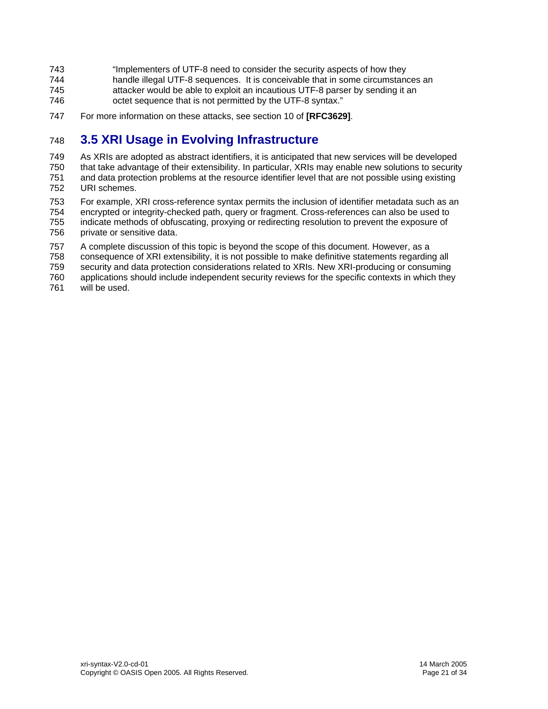- <span id="page-20-0"></span>743 "Implementers of UTF-8 need to consider the security aspects of how they
- 744 745 handle illegal UTF-8 sequences. It is conceivable that in some circumstances an attacker would be able to exploit an incautious UTF-8 parser by sending it an
- 746 octet sequence that is not permitted by the UTF-8 syntax."
- 747 For more information on these attacks, see section 10 of **[\[RFC3629\]](#page-21-15)**.

### 748 **3.5 XRI Usage in Evolving Infrastructure**

749 750 751 752 As XRIs are adopted as abstract identifiers, it is anticipated that new services will be developed that take advantage of their extensibility. In particular, XRIs may enable new solutions to security and data protection problems at the resource identifier level that are not possible using existing URI schemes.

753 754 755 756 For example, XRI cross-reference syntax permits the inclusion of identifier metadata such as an encrypted or integrity-checked path, query or fragment. Cross-references can also be used to indicate methods of obfuscating, proxying or redirecting resolution to prevent the exposure of private or sensitive data.

757 A complete discussion of this topic is beyond the scope of this document. However, as a

758 consequence of XRI extensibility, it is not possible to make definitive statements regarding all

759 security and data protection considerations related to XRIs. New XRI-producing or consuming

760 applications should include independent security reviews for the specific contexts in which they

761 will be used.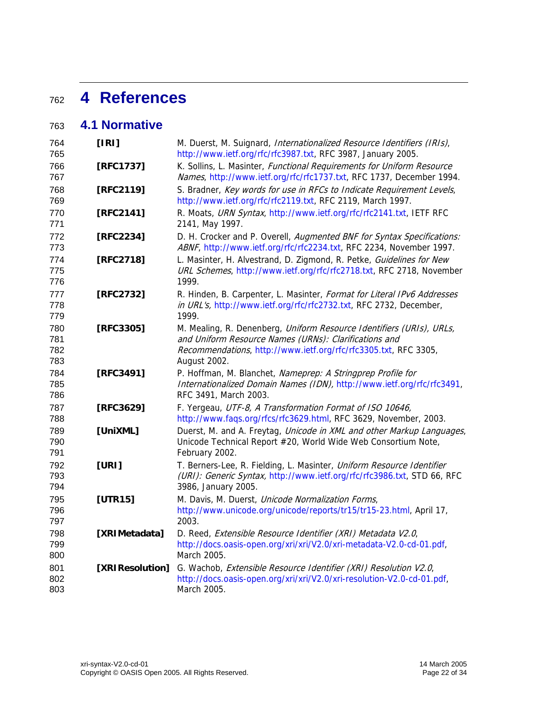# <span id="page-21-2"></span><sup>762</sup>**4 References**

### 763 **4.1 Normative**

<span id="page-21-15"></span><span id="page-21-14"></span><span id="page-21-13"></span><span id="page-21-12"></span><span id="page-21-11"></span><span id="page-21-10"></span><span id="page-21-9"></span><span id="page-21-8"></span><span id="page-21-7"></span><span id="page-21-6"></span><span id="page-21-5"></span><span id="page-21-4"></span><span id="page-21-3"></span><span id="page-21-1"></span><span id="page-21-0"></span>

| 764<br>765               | [IR]            | M. Duerst, M. Suignard, Internationalized Resource Identifiers (IRIs),<br>http://www.ietf.org/rfc/rfc3987.txt, RFC 3987, January 2005.                                                                           |
|--------------------------|-----------------|------------------------------------------------------------------------------------------------------------------------------------------------------------------------------------------------------------------|
| 766<br>767               | [RFC1737]       | K. Sollins, L. Masinter, Functional Requirements for Uniform Resource<br>Names, http://www.ietf.org/rfc/rfc1737.txt, RFC 1737, December 1994.                                                                    |
| 768<br>769               | [RFC2119]       | S. Bradner, Key words for use in RFCs to Indicate Requirement Levels,<br>http://www.ietf.org/rfc/rfc2119.txt, RFC 2119, March 1997.                                                                              |
| 770<br>771               | [RFC2141]       | R. Moats, URN Syntax, http://www.ietf.org/rfc/rfc2141.txt, IETF RFC<br>2141, May 1997.                                                                                                                           |
| 772<br>773               | [RFC2234]       | D. H. Crocker and P. Overell, Augmented BNF for Syntax Specifications:<br>ABNF, http://www.ietf.org/rfc/rfc2234.txt, RFC 2234, November 1997.                                                                    |
| 774<br>775<br>776        | [RFC2718]       | L. Masinter, H. Alvestrand, D. Zigmond, R. Petke, Guidelines for New<br>URL Schemes, http://www.ietf.org/rfc/rfc2718.txt, RFC 2718, November<br>1999.                                                            |
| 777<br>778<br>779        | [RFC2732]       | R. Hinden, B. Carpenter, L. Masinter, Format for Literal IPv6 Addresses<br>in URL's, http://www.ietf.org/rfc/rfc2732.txt, RFC 2732, December,<br>1999.                                                           |
| 780<br>781<br>782<br>783 | [RFC3305]       | M. Mealing, R. Denenberg, Uniform Resource Identifiers (URIs), URLs,<br>and Uniform Resource Names (URNs): Clarifications and<br>Recommendations, http://www.ietf.org/rfc/rfc3305.txt, RFC 3305,<br>August 2002. |
| 784<br>785<br>786        | [RFC3491]       | P. Hoffman, M. Blanchet, Nameprep: A Stringprep Profile for<br>Internationalized Domain Names (IDN), http://www.ietf.org/rfc/rfc3491,<br>RFC 3491, March 2003.                                                   |
| 787<br>788               | [RFC3629]       | F. Yergeau, UTF-8, A Transformation Format of ISO 10646,<br>http://www.faqs.org/rfcs/rfc3629.html, RFC 3629, November, 2003.                                                                                     |
| 789<br>790<br>791        | [UniXML]        | Duerst, M. and A. Freytag, Unicode in XML and other Markup Languages,<br>Unicode Technical Report #20, World Wide Web Consortium Note,<br>February 2002.                                                         |
| 792<br>793<br>794        | [URI]           | T. Berners-Lee, R. Fielding, L. Masinter, Uniform Resource Identifier<br>(URI): Generic Syntax, http://www.ietf.org/rfc/rfc3986.txt, STD 66, RFC<br>3986, January 2005.                                          |
| 795<br>796<br>797        | [UTR15]         | M. Davis, M. Duerst, Unicode Normalization Forms,<br>http://www.unicode.org/unicode/reports/tr15/tr15-23.html, April 17,<br>2003.                                                                                |
| 798<br>799<br>800        | [XRIMetadata]   | D. Reed, Extensible Resource Identifier (XRI) Metadata V2.0,<br>http://docs.oasis-open.org/xri/xri/V2.0/xri-metadata-V2.0-cd-01.pdf,<br>March 2005.                                                              |
| 801<br>802<br>803        | [XRIResolution] | G. Wachob, Extensible Resource Identifier (XRI) Resolution V2.0,<br>http://docs.oasis-open.org/xri/xri/V2.0/xri-resolution-V2.0-cd-01.pdf,<br>March 2005.                                                        |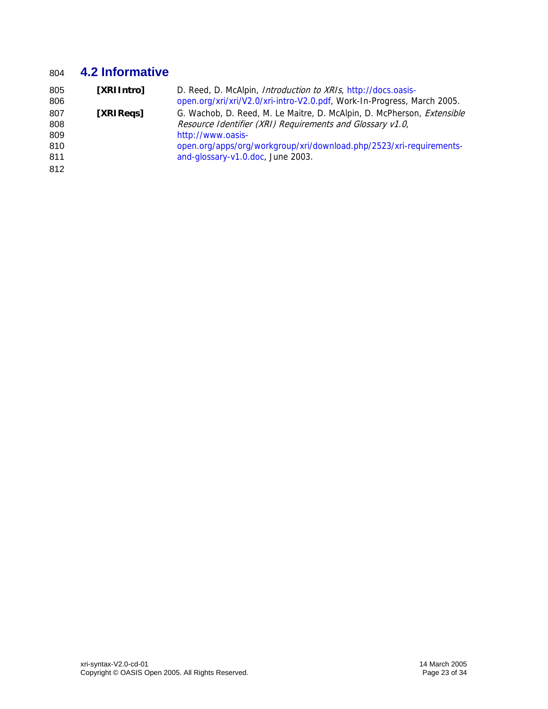### <span id="page-22-1"></span>804 **4.2 Informative**

<span id="page-22-2"></span><span id="page-22-0"></span>

| 805<br>806 | [XRIIntro] | D. Reed, D. McAlpin, Introduction to XRIs, http://docs.oasis-<br>open.org/xri/xri/V2.0/xri-intro-V2.0.pdf, Work-In-Progress, March 2005. |
|------------|------------|------------------------------------------------------------------------------------------------------------------------------------------|
| 807        | [XRIRegs]  | G. Wachob, D. Reed, M. Le Maitre, D. McAlpin, D. McPherson, Extensible                                                                   |
| 808        |            | Resource Identifier (XRI) Requirements and Glossary v1.0,                                                                                |
| 809        |            | http://www.oasis-                                                                                                                        |
| 810        |            | open.org/apps/org/workgroup/xri/download.php/2523/xri-requirements-                                                                      |
| 811        |            | and-glossary-v1.0.doc, June 2003.                                                                                                        |
| 812        |            |                                                                                                                                          |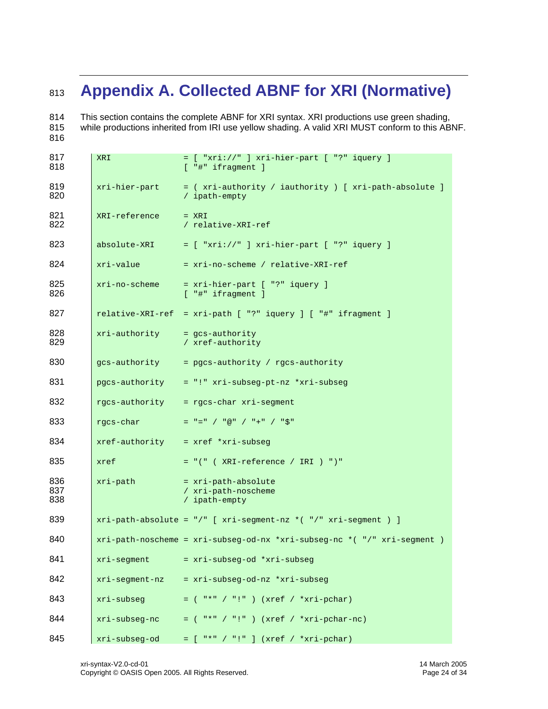# <span id="page-23-1"></span><span id="page-23-0"></span>**Appendix A. Collected ABNF for XRI (Normative)**

 This section contains the complete ABNF for XRI syntax. XRI productions use green shading, while productions inherited from IRI use yellow shading. A valid XRI MUST conform to this ABNF.

| 817<br>818        | <b>XRI</b>     | $=$ [ "xri://" ] xri-hier-part [ "?" iquery ]<br>$[$ "#" ifragment $]$   |
|-------------------|----------------|--------------------------------------------------------------------------|
| 819<br>820        | xri-hier-part  | = ( xri-authority / iauthority ) [ xri-path-absolute ]<br>/ ipath-empty  |
| 821<br>822        | XRI-reference  | $= XRI$<br>/ relative-XRI-ref                                            |
| 823               | absolute-XRI   | $=$ [ "xri://" ] xri-hier-part [ "?" iquery ]                            |
| 824               | xri-value      | = xri-no-scheme / relative-XRI-ref                                       |
| 825<br>826        | xri-no-scheme  | = xri-hier-part [ "?" iquery ]<br>$[$ "#" ifragment $]$                  |
| 827               |                | relative-XRI-ref = xri-path [ "?" iquery ] [ "#" ifragment ]             |
| 828<br>829        | xri-authority  | = gcs-authority<br>/ xref-authority                                      |
| 830               | gcs-authority  | = pgcs-authority / rgcs-authority                                        |
| 831               | pgcs-authority | = "!" xri-subseg-pt-nz *xri-subseg                                       |
| 832               |                | rgcs-authority = rgcs-char xri-segment                                   |
| 833               | rgcs-char      | $=$ "=" / "@" / "+" / "\$"                                               |
| 834               |                | $xref-authority = xref *xri-subseq$                                      |
| 835               | xref           | $= "(" ( XRI-reference / IRI ) " )"$                                     |
| 836<br>837<br>838 | xri-path       | = xri-path-absolute<br>/ xri-path-noscheme<br>/ ipath-empty              |
| 839               |                | $xri-path-absolute = */"$ [ $xri-segment-nz * ("/* xri-segment )$ ]      |
| 840               |                | xri-path-noscheme = xri-subseg-od-nx *xri-subseg-nc *( "/" xri-segment ) |
| 841               | xri-segment    | = xri-subseg-od *xri-subseg                                              |
| 842               | xri-segment-nz | = xri-subseg-od-nz *xri-subseg                                           |
| 843               | xri-subseq     | $=$ ( "*" / "!" ) (xref / *xri-pchar)                                    |
| 844               | xri-subseg-nc  | $=$ ( "*" / "!" ) (xref / *xri-pchar-nc)                                 |
| 845               | xri-subseg-od  | = [ "*" / "!" ] (xref / *xri-pchar)                                      |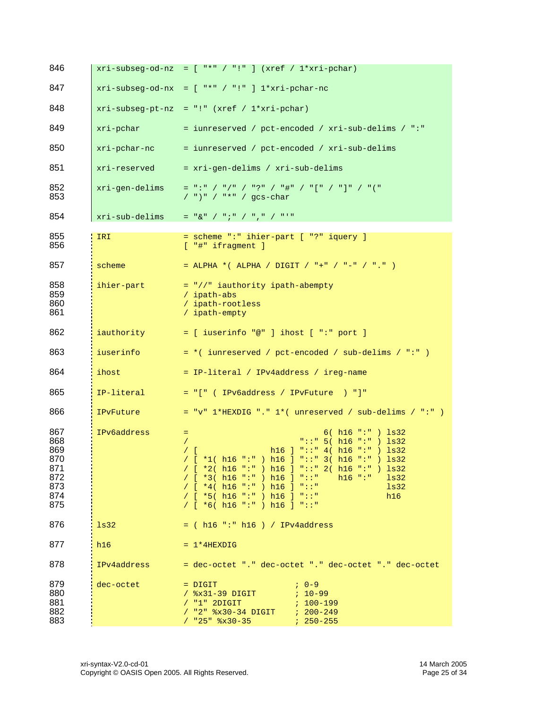| 846                                                         |                | $xri-subseq-od-nz = ['**'/"]' (xref / 1*xri-pchar)$                                                                                                                                                                                                                                                                                                                                                   |
|-------------------------------------------------------------|----------------|-------------------------------------------------------------------------------------------------------------------------------------------------------------------------------------------------------------------------------------------------------------------------------------------------------------------------------------------------------------------------------------------------------|
| 847                                                         |                | $xri-subseg-od-nx = ['**'/ "!" ] 1*xri-pchar-nc$                                                                                                                                                                                                                                                                                                                                                      |
| 848                                                         |                | $xri-subseg-\pt-nz = "!" (xref / 1*xri-pchar)$                                                                                                                                                                                                                                                                                                                                                        |
| 849                                                         | xri-pchar      | = iunreserved / pct-encoded / xri-sub-delims / ":"                                                                                                                                                                                                                                                                                                                                                    |
| 850                                                         | xri-pchar-nc   | = iunreserved / pct-encoded / xri-sub-delims                                                                                                                                                                                                                                                                                                                                                          |
| 851                                                         | xri-reserved   | = xri-gen-delims / xri-sub-delims                                                                                                                                                                                                                                                                                                                                                                     |
| 852<br>853                                                  | xri-gen-delims | $=$ ":" / "/" / "?" / "#" / "[" / "]" / "("<br>$/$ ")" $/$ "*" $/$ gcs-char                                                                                                                                                                                                                                                                                                                           |
| 854                                                         | xri-sub-delims | $=$ " $\&$ " / "; " / ", " / "'"                                                                                                                                                                                                                                                                                                                                                                      |
| 855<br>856                                                  | IRI            | = scheme ":" ihier-part [ "?" iquery ]<br>$[$ "#" ifragment $]$                                                                                                                                                                                                                                                                                                                                       |
| 857                                                         | scheme         | = ALPHA *( ALPHA / DIGIT / "+" / "-" / "." )                                                                                                                                                                                                                                                                                                                                                          |
| 858<br>859<br>860<br>861                                    | ihier-part     | = "//" iauthority ipath-abempty<br>/ ipath-abs<br>/ ipath-rootless<br>/ ipath-empty                                                                                                                                                                                                                                                                                                                   |
| 862                                                         | iauthority     | $=$ [ iuserinfo "@" ] ihost [ ":" port ]                                                                                                                                                                                                                                                                                                                                                              |
| 863                                                         | iuserinfo      | $= *$ ( iunreserved / pct-encoded / sub-delims / ":" )                                                                                                                                                                                                                                                                                                                                                |
| 864                                                         | ihost          | = IP-literal / IPv4address / ireg-name                                                                                                                                                                                                                                                                                                                                                                |
| 865                                                         | IP-literal     | $= "[" (IPv6address / IPvFuture ) "]"$                                                                                                                                                                                                                                                                                                                                                                |
| 866                                                         | IPvFuture      | $= "v" 1*HEXDIG". " 1* (unreserved / sub-delims / ".")$                                                                                                                                                                                                                                                                                                                                               |
| 867<br>868<br>869<br>870<br>871<br>872<br>873<br>874<br>875 | IPv6address    | 6( h16 "::") ls32<br>$\equiv$<br>"::" $5( h16 "::") ls32$<br>$\prime$<br>h16 ] "::" $4( h16 "::")  ls32$<br>$\sqrt{2}$<br>/ [ *1( h16 ":" ) h16 ] "::" 3( h16 ":" ) ls32<br>/ [ *2( h16 ":" ) h16 ] "::" 2( h16 ":" ) ls32<br>/ [ *3( h16 ":" ) h16 ] "::"<br>$h16$ ":"<br>1s32<br>/ $[ *4( h16 "::") h16 ] "::"$<br>1s32<br>/ [ $*5()$ h16 ":" ) h16 ] "::"<br>h16<br>/ $[ *6( h16 "::") h16 ] "::"$ |
| 876                                                         | 1s32           | $=$ ( h16 ":" h16 ) / IPv4address                                                                                                                                                                                                                                                                                                                                                                     |
| 877                                                         | h16            | $= 1*4$ HEXDIG                                                                                                                                                                                                                                                                                                                                                                                        |
| 878                                                         | IPv4address    | = dec-octet "." dec-octet "." dec-octet "." dec-octet                                                                                                                                                                                                                                                                                                                                                 |
| 879<br>880<br>881<br>882<br>883                             | dec-octet      | $=$ DIGIT<br>$7.0 - 9$<br>$/$ $x31-39$ $DIGIT$<br>$7.10 - 99$<br>$/$ "1" 2DIGIT<br>$: 100 - 199$<br>/ "2" %x30-34 DIGIT<br>$7200 - 249$<br>/ "25" %x30-35<br>$7250 - 255$                                                                                                                                                                                                                             |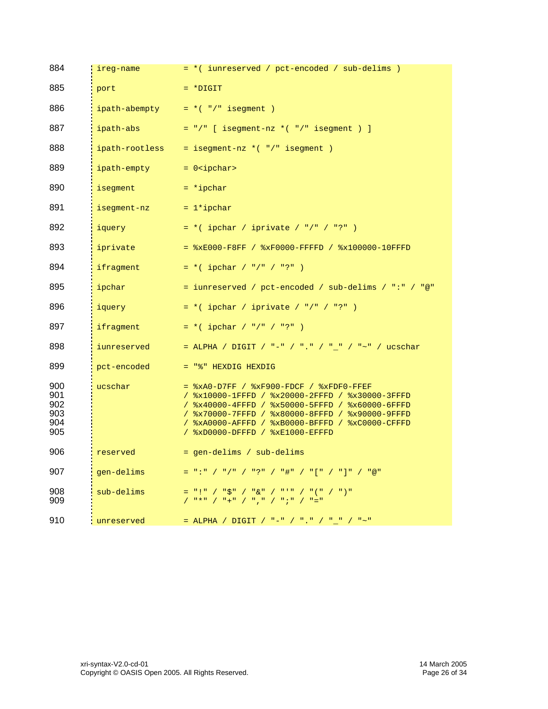| 884                                    | ireg-name      | = *( iunreserved / pct-encoded / sub-delims )                                                                                                                                                                                                                                          |
|----------------------------------------|----------------|----------------------------------------------------------------------------------------------------------------------------------------------------------------------------------------------------------------------------------------------------------------------------------------|
| 885                                    | port           | $= *$ DIGIT                                                                                                                                                                                                                                                                            |
| 886                                    | ipath-abempty  | $= *$ ( $*/"$ isegment )                                                                                                                                                                                                                                                               |
| 887                                    | ipath-abs      | $=$ "/" [ isegment-nz *( "/" isegment ) ]                                                                                                                                                                                                                                              |
| 888                                    | ipath-rootless | $=$ isegment-nz *( $*/$ " isegment)                                                                                                                                                                                                                                                    |
| 889                                    | ipath-empty    | $= 0$ <ipchar></ipchar>                                                                                                                                                                                                                                                                |
| 890                                    | isegment       | $= *i$ pchar                                                                                                                                                                                                                                                                           |
| 891                                    | isegment-nz    | $= 1*ipchar$                                                                                                                                                                                                                                                                           |
| 892                                    | iquery         | = *( ipchar / iprivate / "/" / "?" )                                                                                                                                                                                                                                                   |
| 893                                    | iprivate       | $=$ $xE000-F8FF$ / $xF0000-FFFFD$ / $x100000-10FFFD$                                                                                                                                                                                                                                   |
| 894                                    | ifragment      | $= *$ (ipchar / "/" / "?" )                                                                                                                                                                                                                                                            |
| 895                                    | ipchar         | = iunreserved / pct-encoded / sub-delims / ":" / "@"                                                                                                                                                                                                                                   |
| 896                                    | iquery         | $=$ *( ipchar / iprivate / "/" / "?" )                                                                                                                                                                                                                                                 |
| 897                                    | ifragment      | $= *$ ( ipchar / "/" / "?" )                                                                                                                                                                                                                                                           |
| 898                                    | iunreserved    | = ALPHA / DIGIT / "-" / "." / "_" / "~" / ucschar                                                                                                                                                                                                                                      |
| 899                                    | pct-encoded    | $=$ "%" HEXDIG HEXDIG                                                                                                                                                                                                                                                                  |
| 900<br>901<br>902<br>903<br>904<br>905 | ucschar        | = %xA0-D7FF / %xF900-FDCF / %xFDF0-FFEF<br>/ %x10000-1FFFD / %x20000-2FFFD / %x30000-3FFFD<br>/ %x40000-4FFFD / %x50000-5FFFD / %x60000-6FFFD<br>/ %x70000-7FFFD / %x80000-8FFFD / %x90000-9FFFD<br>/ %xA0000-AFFFD / %xB0000-BFFFD / %xC0000-CFFFD<br>/ %xD0000-DFFFD / %xE1000-EFFFD |
| 906                                    | reserved       | = gen-delims / sub-delims                                                                                                                                                                                                                                                              |
| 907                                    | gen-delims     | $=$ ":" / "/" / "?" / "#" / "[" / "]" / "@"                                                                                                                                                                                                                                            |
| 908<br>909                             | sub-delims     | = "!" / "\$" / "&" / "'" / "(" / ")"                                                                                                                                                                                                                                                   |
| 910                                    | unreserved     | = ALPHA / DIGIT / "-" / "." / "_" / "~"                                                                                                                                                                                                                                                |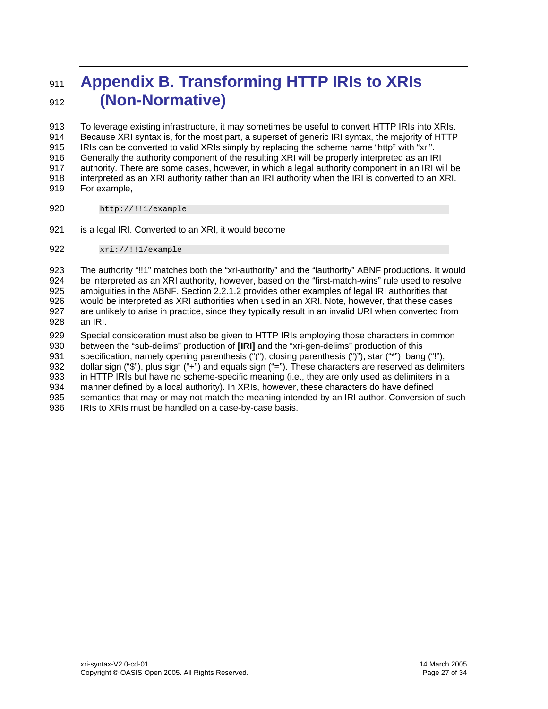### <span id="page-26-1"></span><span id="page-26-0"></span><sup>911</sup>**Appendix B. Transforming HTTP IRIs to XRIs**  912 **(Non-Normative)**

913 914 915 916 917 918 919 To leverage existing infrastructure, it may sometimes be useful to convert HTTP IRIs into XRIs. Because XRI syntax is, for the most part, a superset of generic IRI syntax, the majority of HTTP IRIs can be converted to valid XRIs simply by replacing the scheme name "http" with "xri". Generally the authority component of the resulting XRI will be properly interpreted as an IRI authority. There are some cases, however, in which a legal authority component in an IRI will be interpreted as an XRI authority rather than an IRI authority when the IRI is converted to an XRI. For example,

- 920 http://!!1/example
- 921 is a legal IRI. Converted to an XRI, it would become
- 922 xri://!!1/example

923 924 925 926 927 928 The authority "!!1" matches both the "xri-authority" and the "iauthority" ABNF productions. It would be interpreted as an XRI authority, however, based on the "first-match-wins" rule used to resolve ambiguities in the ABNF. Section [2.2.1.2](#page-9-1) provides other examples of legal IRI authorities that would be interpreted as XRI authorities when used in an XRI. Note, however, that these cases are unlikely to arise in practice, since they typically result in an invalid URI when converted from an IRI.

929 930 Special consideration must also be given to HTTP IRIs employing those characters in common between the "sub-delims" production of **[\[IRI\]](#page-21-4)** and the "xri-gen-delims" production of this

931 specification, namely opening parenthesis ("("), closing parenthesis (")"), star ("\*"), bang ("!"),

932 dollar sign ("\$"), plus sign ("+") and equals sign ("="). These characters are reserved as delimiters

933 in HTTP IRIs but have no scheme-specific meaning (i.e., they are only used as delimiters in a

934 manner defined by a local authority). In XRIs, however, these characters do have defined

935 semantics that may or may not match the meaning intended by an IRI author. Conversion of such

936 IRIs to XRIs must be handled on a case-by-case basis.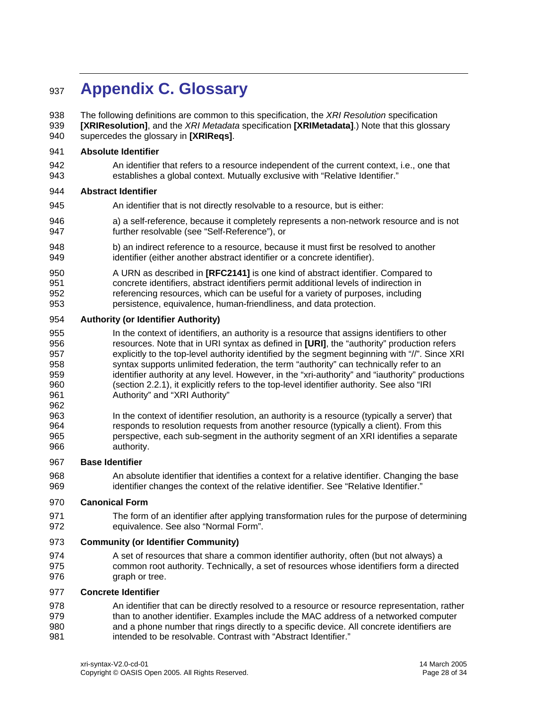# <span id="page-27-0"></span><sup>937</sup>**Appendix C. Glossary**

938 939 940 The following definitions are common to this specification, the *XRI Resolution* specification **[\[XRIResolution\]](#page-21-0)**, and the *XRI Metadata* specification **[\[XRIMetadata\]](#page-21-1)**.) Note that this glossary supercedes the glossary in **[\[XRIReqs\]](#page-22-2)**.

### 941 **Absolute Identifier**

942 943 An identifier that refers to a resource independent of the current context, i.e., one that establishes a global context. Mutually exclusive with "Relative Identifier."

### 944 **Abstract Identifier**

- 945 An identifier that is not directly resolvable to a resource, but is either:
- 946 947 a) a self-reference, because it completely represents a non-network resource and is not further resolvable (see "Self-Reference"), or
- 948 949 b) an indirect reference to a resource, because it must first be resolved to another identifier (either another abstract identifier or a concrete identifier).
- 950 951 952 953 A URN as described in **[\[RFC2141\]](#page-21-5)** is one kind of abstract identifier. Compared to concrete identifiers, abstract identifiers permit additional levels of indirection in referencing resources, which can be useful for a variety of purposes, including persistence, equivalence, human-friendliness, and data protection.

### 954 **Authority (or Identifier Authority)**

- 955 956 957 958 959 960 961 In the context of identifiers, an authority is a resource that assigns identifiers to other resources. Note that in URI syntax as defined in **[\[URI\]](#page-21-3)**, the "authority" production refers explicitly to the top-level authority identified by the segment beginning with "//". Since XRI syntax supports unlimited federation, the term "authority" can technically refer to an identifier authority at any level. However, in the "xri-authority" and "iauthority" productions (section [2.2.1\)](#page-8-2), it explicitly refers to the top-level identifier authority. See also "IRI Authority" and "XRI Authority"
- 963 964 965 966 In the context of identifier resolution, an authority is a resource (typically a server) that responds to resolution requests from another resource (typically a client). From this perspective, each sub-segment in the authority segment of an XRI identifies a separate authority.

### 967 **Base Identifier**

962

968 969 An absolute identifier that identifies a context for a relative identifier. Changing the base identifier changes the context of the relative identifier. See "Relative Identifier."

### 970 **Canonical Form**

971 972 The form of an identifier after applying transformation rules for the purpose of determining equivalence. See also "Normal Form".

### 973 **Community (or Identifier Community)**

974 975 976 A set of resources that share a common identifier authority, often (but not always) a common root authority. Technically, a set of resources whose identifiers form a directed graph or tree.

### 977 **Concrete Identifier**

978 979 980 981 An identifier that can be directly resolved to a resource or resource representation, rather than to another identifier. Examples include the MAC address of a networked computer and a phone number that rings directly to a specific device. All concrete identifiers are intended to be resolvable. Contrast with "Abstract Identifier."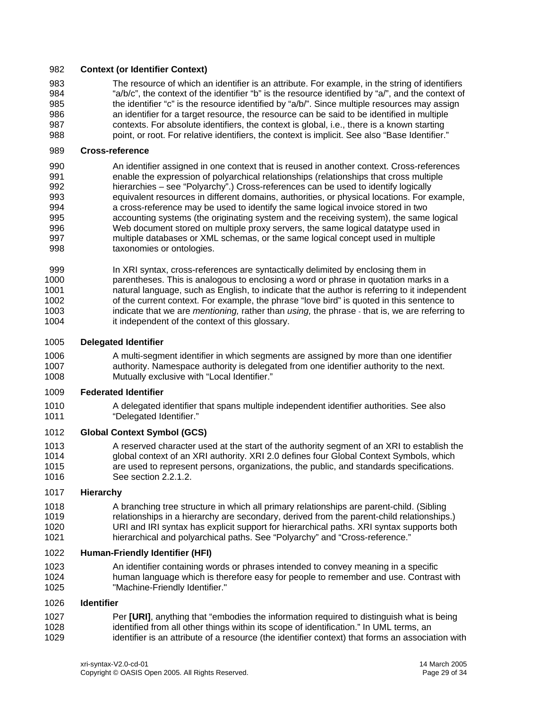### 982 **Context (or Identifier Context)**

983 984 985 986 987 988 The resource of which an identifier is an attribute. For example, in the string of identifiers "a/b/c", the context of the identifier "b" is the resource identified by "a/", and the context of the identifier "c" is the resource identified by "a/b/". Since multiple resources may assign an identifier for a target resource, the resource can be said to be identified in multiple contexts. For absolute identifiers, the context is global, i.e., there is a known starting point, or root. For relative identifiers, the context is implicit. See also "Base Identifier."

### 989 **Cross-reference**

990 991 992 993 994 995 996 997 998 An identifier assigned in one context that is reused in another context. Cross-references enable the expression of polyarchical relationships (relationships that cross multiple hierarchies – see "Polyarchy".) Cross-references can be used to identify logically equivalent resources in different domains, authorities, or physical locations. For example, a cross-reference may be used to identify the same logical invoice stored in two accounting systems (the originating system and the receiving system), the same logical Web document stored on multiple proxy servers, the same logical datatype used in multiple databases or XML schemas, or the same logical concept used in multiple taxonomies or ontologies.

999 1000 1001 1002 1003 1004 In XRI syntax, cross-references are syntactically delimited by enclosing them in parentheses. This is analogous to enclosing a word or phrase in quotation marks in a natural language, such as English, to indicate that the author is referring to it independent of the current context. For example, the phrase "love bird" is quoted in this sentence to indicate that we are *mentioning,* rather than *using,* the phrase - that is, we are referring to it independent of the context of this glossary.

### 1005 **Delegated Identifier**

1006 1007 1008 A multi-segment identifier in which segments are assigned by more than one identifier authority. Namespace authority is delegated from one identifier authority to the next. Mutually exclusive with "Local Identifier."

### 1009 **Federated Identifier**

1010 1011 A delegated identifier that spans multiple independent identifier authorities. See also "Delegated Identifier."

### 1012 **Global Context Symbol (GCS)**

1013 1014 1015 1016 A reserved character used at the start of the authority segment of an XRI to establish the global context of an XRI authority. XRI 2.0 defines four Global Context Symbols, which are used to represent persons, organizations, the public, and standards specifications. See section [2.2.1.2.](#page-9-1)

### 1017 **Hierarchy**

1018 1019 1020 1021 A branching tree structure in which all primary relationships are parent-child. (Sibling relationships in a hierarchy are secondary, derived from the parent-child relationships.) URI and IRI syntax has explicit support for hierarchical paths. XRI syntax supports both hierarchical and polyarchical paths. See "Polyarchy" and "Cross-reference."

### 1022 **Human-Friendly Identifier (HFI)**

1023 1024 1025 An identifier containing words or phrases intended to convey meaning in a specific human language which is therefore easy for people to remember and use. Contrast with "Machine-Friendly Identifier."

### 1026 **Identifier**

1027 1028 1029 Per **[\[URI\]](#page-21-3)**, anything that "embodies the information required to distinguish what is being identified from all other things within its scope of identification." In UML terms, an identifier is an attribute of a resource (the identifier context) that forms an association with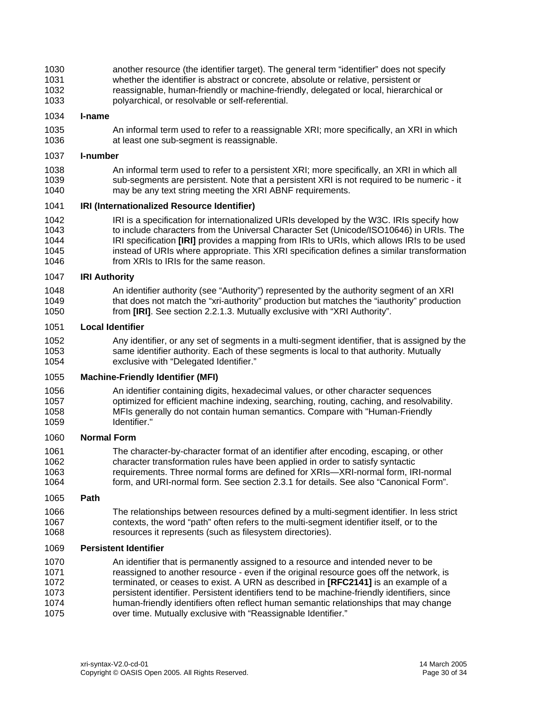- 1030
- 1031 another resource (the identifier target). The general term "identifier" does not specify whether the identifier is abstract or concrete, absolute or relative, persistent or
- 1032 1033 reassignable, human-friendly or machine-friendly, delegated or local, hierarchical or polyarchical, or resolvable or self-referential.

### 1034 **I-name**

1035 1036 An informal term used to refer to a reassignable XRI; more specifically, an XRI in which at least one sub-segment is reassignable.

### 1037 **I-number**

1038 1039 1040 An informal term used to refer to a persistent XRI; more specifically, an XRI in which all sub-segments are persistent. Note that a persistent XRI is not required to be numeric - it may be any text string meeting the XRI ABNF requirements.

### 1041 **IRI (Internationalized Resource Identifier)**

1042 1043 1044 1045 1046 IRI is a specification for internationalized URIs developed by the W3C. IRIs specify how to include characters from the Universal Character Set (Unicode/ISO10646) in URIs. The IRI specification **[\[IRI\]](#page-21-4)** provides a mapping from IRIs to URIs, which allows IRIs to be used instead of URIs where appropriate. This XRI specification defines a similar transformation from XRIs to IRIs for the same reason.

### 1047 **IRI Authority**

1048 1049 1050 An identifier authority (see "Authority") represented by the authority segment of an XRI that does not match the "xri-authority" production but matches the "iauthority" production from **[\[IRI\]](#page-21-4)**. See section [2.2.1.3.](#page-9-2) Mutually exclusive with "XRI Authority".

### 1051 **Local Identifier**

1052 1053 1054 Any identifier, or any set of segments in a multi-segment identifier, that is assigned by the same identifier authority. Each of these segments is local to that authority. Mutually exclusive with "Delegated Identifier."

### 1055 **Machine-Friendly Identifier (MFI)**

1056 1057 1058 1059 An identifier containing digits, hexadecimal values, or other character sequences optimized for efficient machine indexing, searching, routing, caching, and resolvability. MFIs generally do not contain human semantics. Compare with "Human-Friendly Identifier."

### 1060 **Normal Form**

1061 1062 1063 1064 The character-by-character format of an identifier after encoding, escaping, or other character transformation rules have been applied in order to satisfy syntactic requirements. Three normal forms are defined for XRIs—XRI-normal form, IRI-normal form, and URI-normal form. See section [2.3.1](#page-12-1) for details. See also "Canonical Form".

### 1065 **Path**

1066 1067 1068 The relationships between resources defined by a multi-segment identifier. In less strict contexts, the word "path" often refers to the multi-segment identifier itself, or to the resources it represents (such as filesystem directories).

### 1069 **Persistent Identifier**

1070 1071 1072 1073 1074 1075 An identifier that is permanently assigned to a resource and intended never to be reassigned to another resource - even if the original resource goes off the network, is terminated, or ceases to exist. A URN as described in **[\[RFC2141\]](#page-21-5)** is an example of a persistent identifier. Persistent identifiers tend to be machine-friendly identifiers, since human-friendly identifiers often reflect human semantic relationships that may change over time. Mutually exclusive with "Reassignable Identifier."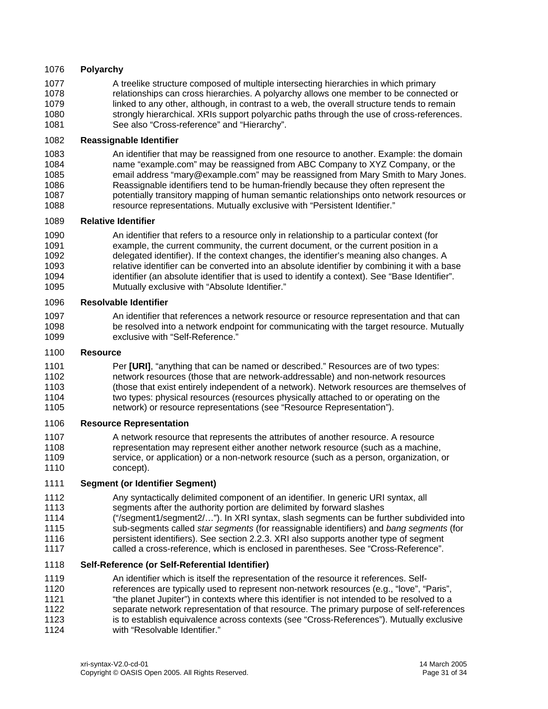### 1076 **Polyarchy**

1077 1078 1079 1080 1081 A treelike structure composed of multiple intersecting hierarchies in which primary relationships can cross hierarchies. A polyarchy allows one member to be connected or linked to any other, although, in contrast to a web, the overall structure tends to remain strongly hierarchical. XRIs support polyarchic paths through the use of cross-references. See also "Cross-reference" and "Hierarchy".

### 1082 **Reassignable Identifier**

1083 1084 1085 1086 1087 1088 An identifier that may be reassigned from one resource to another. Example: the domain name "example.com" may be reassigned from ABC Company to XYZ Company, or the email address "mary@example.com" may be reassigned from Mary Smith to Mary Jones. Reassignable identifiers tend to be human-friendly because they often represent the potentially transitory mapping of human semantic relationships onto network resources or resource representations. Mutually exclusive with "Persistent Identifier."

### 1089 **Relative Identifier**

1090 1091 1092 1093 1094 1095 An identifier that refers to a resource only in relationship to a particular context (for example, the current community, the current document, or the current position in a delegated identifier). If the context changes, the identifier's meaning also changes. A relative identifier can be converted into an absolute identifier by combining it with a base identifier (an absolute identifier that is used to identify a context). See "Base Identifier". Mutually exclusive with "Absolute Identifier."

### 1096 **Resolvable Identifier**

1097 1098 1099 An identifier that references a network resource or resource representation and that can be resolved into a network endpoint for communicating with the target resource. Mutually exclusive with "Self-Reference."

### 1100 **Resource**

1101 1102 1103 1104 1105 Per **[\[URI\]](#page-21-3)**, "anything that can be named or described." Resources are of two types: network resources (those that are network-addressable) and non-network resources (those that exist entirely independent of a network). Network resources are themselves of two types: physical resources (resources physically attached to or operating on the network) or resource representations (see "Resource Representation").

### 1106 **Resource Representation**

1107 1108 1109 1110 A network resource that represents the attributes of another resource. A resource representation may represent either another network resource (such as a machine, service, or application) or a non-network resource (such as a person, organization, or concept).

### 1111 **Segment (or Identifier Segment)**

1112 1113 1114 1115 1116 1117 Any syntactically delimited component of an identifier. In generic URI syntax, all segments after the authority portion are delimited by forward slashes ("/segment1/segment2/…"). In XRI syntax, slash segments can be further subdivided into sub-segments called *star segments* (for reassignable identifiers) and *bang segments* (for persistent identifiers). See section [2.2.3.](#page-10-2) XRI also supports another type of segment called a cross-reference, which is enclosed in parentheses. See "Cross-Reference".

### 1118 **Self-Reference (or Self-Referential Identifier)**

1119 1120 1121 1122 1123 1124 An identifier which is itself the representation of the resource it references. Selfreferences are typically used to represent non-network resources (e.g., "love", "Paris", "the planet Jupiter") in contexts where this identifier is not intended to be resolved to a separate network representation of that resource. The primary purpose of self-references is to establish equivalence across contexts (see "Cross-References"). Mutually exclusive with "Resolvable Identifier."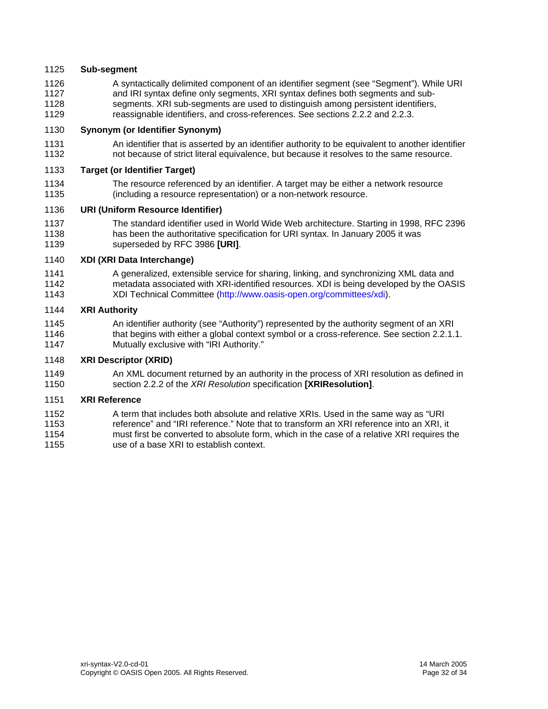### 1125 **Sub-segment**

- 1126 1127 1128 A syntactically delimited component of an identifier segment (see "Segment"). While URI and IRI syntax define only segments, XRI syntax defines both segments and subsegments. XRI sub-segments are used to distinguish among persistent identifiers,
- 1129 reassignable identifiers, and cross-references. See sections [2.2.2](#page-10-1) and [2.2.3.](#page-10-2)

### 1130 **Synonym (or Identifier Synonym)**

1131 1132 An identifier that is asserted by an identifier authority to be equivalent to another identifier not because of strict literal equivalence, but because it resolves to the same resource.

### 1133 **Target (or Identifier Target)**

1134 1135 The resource referenced by an identifier. A target may be either a network resource (including a resource representation) or a non-network resource.

### 1136 **URI (Uniform Resource Identifier)**

1137 1138 1139 The standard identifier used in World Wide Web architecture. Starting in 1998, RFC 2396 has been the authoritative specification for URI syntax. In January 2005 it was superseded by RFC 3986 **[\[URI\]](#page-21-3)**.

### 1140 **XDI (XRI Data Interchange)**

1141 1142 1143 A generalized, extensible service for sharing, linking, and synchronizing XML data and metadata associated with XRI-identified resources. XDI is being developed by the OASIS XDI Technical Committee [\(http://www.oasis-open.org/committees/xdi\)](http://www.oasis-open.org/committees/xdi).

### 1144 **XRI Authority**

1145 1146 1147 An identifier authority (see "Authority") represented by the authority segment of an XRI that begins with either a global context symbol or a cross-reference. See section [2.2.1.1.](#page-9-3) Mutually exclusive with "IRI Authority."

### 1148 **XRI Descriptor (XRID)**

1149 1150 An XML document returned by an authority in the process of XRI resolution as defined in section 2.2.2 of the *XRI Resolution* specification **[\[XRIResolution\]](#page-21-0)**.

### 1151 **XRI Reference**

1152 1153 1154 1155 A term that includes both absolute and relative XRIs. Used in the same way as "URI reference" and "IRI reference." Note that to transform an XRI reference into an XRI, it must first be converted to absolute form, which in the case of a relative XRI requires the use of a base XRI to establish context.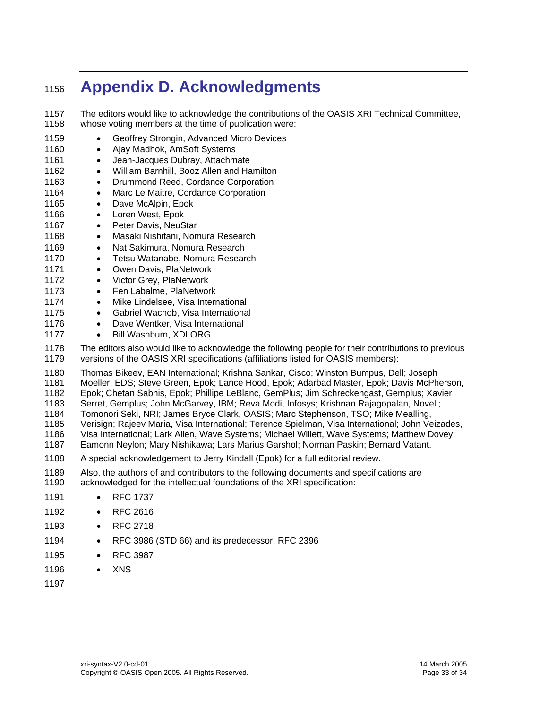# <span id="page-32-0"></span><sup>1156</sup>**Appendix D. Acknowledgments**

- 1157 The editors would like to acknowledge the contributions of the OASIS XRI Technical Committee, whose voting members at the time of publication were:
- 1158 1159 1160 1161 1162 1163 1164 1165 1166 1167 1168 1169 1170 1171 1172 1173 1174 1175 1176 1177 1178 1179 1180 1181 1182 1183 1184 1185 1186 1187 1188 1189 1190 • Geoffrey Strongin, Advanced Micro Devices • Ajay Madhok, AmSoft Systems • Jean-Jacques Dubray, Attachmate • William Barnhill, Booz Allen and Hamilton • Drummond Reed, Cordance Corporation • Marc Le Maitre, Cordance Corporation • Dave McAlpin, Epok • Loren West, Epok • Peter Davis, NeuStar • Masaki Nishitani, Nomura Research • Nat Sakimura, Nomura Research • Tetsu Watanabe, Nomura Research • Owen Davis, PlaNetwork • Victor Grey, PlaNetwork • Fen Labalme, PlaNetwork • Mike Lindelsee, Visa International • Gabriel Wachob, Visa International • Dave Wentker, Visa International • Bill Washburn, XDI.ORG The editors also would like to acknowledge the following people for their contributions to previous versions of the OASIS XRI specifications (affiliations listed for OASIS members): Thomas Bikeev, EAN International; Krishna Sankar, Cisco; Winston Bumpus, Dell; Joseph Moeller, EDS; Steve Green, Epok; Lance Hood, Epok; Adarbad Master, Epok; Davis McPherson, Epok; Chetan Sabnis, Epok; Phillipe LeBlanc, GemPlus; Jim Schreckengast, Gemplus; Xavier Serret, Gemplus; John McGarvey, IBM; Reva Modi, Infosys; Krishnan Rajagopalan, Novell; Tomonori Seki, NRI; James Bryce Clark, OASIS; Marc Stephenson, TSO; Mike Mealling, Verisign; Rajeev Maria, Visa International; Terence Spielman, Visa International; John Veizades, Visa International; Lark Allen, Wave Systems; Michael Willett, Wave Systems; Matthew Dovey; Eamonn Neylon; Mary Nishikawa; Lars Marius Garshol; Norman Paskin; Bernard Vatant. A special acknowledgement to Jerry Kindall (Epok) for a full editorial review. Also, the authors of and contributors to the following documents and specifications are acknowledged for the intellectual foundations of the XRI specification:
	- 1191 • RFC 1737
	- 1192 • RFC 2616
	- 1193 • RFC 2718
	- 1194 • RFC 3986 (STD 66) and its predecessor, RFC 2396
	- 1195 • RFC 3987
	- 1196 • XNS
	- 1197